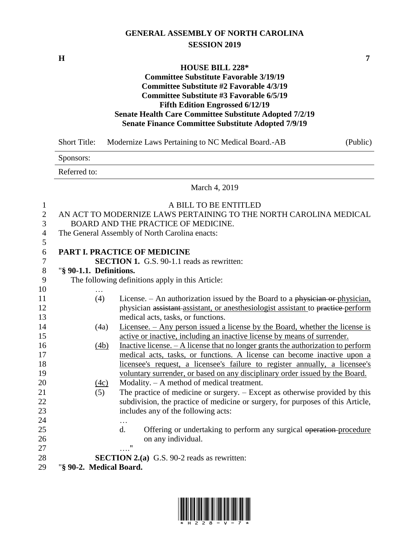## **GENERAL ASSEMBLY OF NORTH CAROLINA SESSION 2019**

**H 7**

#### **HOUSE BILL 228\***

### **Committee Substitute Favorable 3/19/19 Committee Substitute #2 Favorable 4/3/19 Committee Substitute #3 Favorable 6/5/19 Fifth Edition Engrossed 6/12/19 Senate Health Care Committee Substitute Adopted 7/2/19 Senate Finance Committee Substitute Adopted 7/9/19**

|                  | <b>Short Title:</b>     | Modernize Laws Pertaining to NC Medical Board.-AB<br>(Public)                       |
|------------------|-------------------------|-------------------------------------------------------------------------------------|
|                  | Sponsors:               |                                                                                     |
|                  | Referred to:            |                                                                                     |
|                  |                         | March 4, 2019                                                                       |
| $\mathbf{1}$     |                         | A BILL TO BE ENTITLED                                                               |
| $\boldsymbol{2}$ |                         | AN ACT TO MODERNIZE LAWS PERTAINING TO THE NORTH CAROLINA MEDICAL                   |
| 3                |                         | BOARD AND THE PRACTICE OF MEDICINE.                                                 |
| $\overline{4}$   |                         | The General Assembly of North Carolina enacts:                                      |
| 5                |                         |                                                                                     |
| 6                |                         | PART I. PRACTICE OF MEDICINE                                                        |
| 7                |                         | <b>SECTION 1.</b> G.S. 90-1.1 reads as rewritten:                                   |
| 8                | "§ 90-1.1. Definitions. |                                                                                     |
| 9                |                         | The following definitions apply in this Article:                                    |
| 10               |                         |                                                                                     |
| 11               | (4)                     | License. $-$ An authorization issued by the Board to a physician or physician,      |
| 12               |                         | physician assistant assistant, or anesthesiologist assistant to practice perform    |
| 13               |                         | medical acts, tasks, or functions.                                                  |
| 14               | (4a)                    | <u>Licensee. – Any person issued a license by the Board, whether the license is</u> |
| 15               |                         | active or inactive, including an inactive license by means of surrender.            |
| 16               | (4b)                    | Inactive license. $- A$ license that no longer grants the authorization to perform  |
| 17               |                         | medical acts, tasks, or functions. A license can become inactive upon a             |
| 18               |                         | licensee's request, a licensee's failure to register annually, a licensee's         |
| 19               |                         | voluntary surrender, or based on any disciplinary order issued by the Board.        |
| 20               | (4c)                    | Modality. - A method of medical treatment.                                          |
| 21               | (5)                     | The practice of medicine or surgery. – Except as otherwise provided by this         |
| 22               |                         | subdivision, the practice of medicine or surgery, for purposes of this Article,     |
| 23               |                         | includes any of the following acts:                                                 |
| 24               |                         | $\ddotsc$                                                                           |
| 25               |                         | d.<br>Offering or undertaking to perform any surgical operation-procedure           |
| 26               |                         | on any individual.                                                                  |
| 27               |                         | $\ldots$ "                                                                          |
| 28               |                         | <b>SECTION 2.(a)</b> G.S. 90-2 reads as rewritten:                                  |
| 29               | "§ 90-2. Medical Board. |                                                                                     |

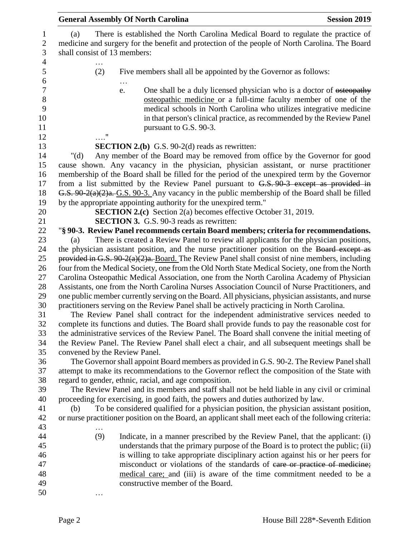|                                     | <b>General Assembly Of North Carolina</b>                                                                                                                                           | <b>Session 2019</b> |
|-------------------------------------|-------------------------------------------------------------------------------------------------------------------------------------------------------------------------------------|---------------------|
| (a)<br>shall consist of 13 members: | There is established the North Carolina Medical Board to regulate the practice of<br>medicine and surgery for the benefit and protection of the people of North Carolina. The Board |                     |
| .<br>(2)                            | Five members shall all be appointed by the Governor as follows:                                                                                                                     |                     |
|                                     |                                                                                                                                                                                     |                     |
|                                     | One shall be a duly licensed physician who is a doctor of esteopathy<br>e.                                                                                                          |                     |
|                                     | osteopathic medicine or a full-time faculty member of one of the                                                                                                                    |                     |
|                                     | medical schools in North Carolina who utilizes integrative medicine                                                                                                                 |                     |
|                                     | in that person's clinical practice, as recommended by the Review Panel<br>pursuant to G.S. 90-3.                                                                                    |                     |
|                                     |                                                                                                                                                                                     |                     |
|                                     | <b>SECTION 2.(b)</b> G.S. $90-2(d)$ reads as rewritten:                                                                                                                             |                     |
| " $(d)$                             | Any member of the Board may be removed from office by the Governor for good                                                                                                         |                     |
|                                     | cause shown. Any vacancy in the physician, physician assistant, or nurse practitioner                                                                                               |                     |
|                                     | membership of the Board shall be filled for the period of the unexpired term by the Governor                                                                                        |                     |
|                                     | from a list submitted by the Review Panel pursuant to G.S. 90-3 except as provided in                                                                                               |                     |
|                                     | G.S. 90-2(a)(2)a.-G.S. 90-3. Any vacancy in the public membership of the Board shall be filled                                                                                      |                     |
|                                     | by the appropriate appointing authority for the unexpired term."<br><b>SECTION 2.(c)</b> Section 2(a) becomes effective October 31, 2019.                                           |                     |
|                                     | <b>SECTION 3.</b> G.S. 90-3 reads as rewritten:                                                                                                                                     |                     |
|                                     | "§ 90-3. Review Panel recommends certain Board members; criteria for recommendations.                                                                                               |                     |
| (a)                                 | There is created a Review Panel to review all applicants for the physician positions,                                                                                               |                     |
|                                     | the physician assistant position, and the nurse practitioner position on the Board except as                                                                                        |                     |
|                                     | provided in G.S. $90-2(a)(2)a$ . Board. The Review Panel shall consist of nine members, including                                                                                   |                     |
|                                     | four from the Medical Society, one from the Old North State Medical Society, one from the North                                                                                     |                     |
|                                     | Carolina Osteopathic Medical Association, one from the North Carolina Academy of Physician                                                                                          |                     |
|                                     | Assistants, one from the North Carolina Nurses Association Council of Nurse Practitioners, and                                                                                      |                     |
|                                     | one public member currently serving on the Board. All physicians, physician assistants, and nurse                                                                                   |                     |
|                                     | practitioners serving on the Review Panel shall be actively practicing in North Carolina.<br>The Review Panel shall contract for the independent administrative services needed to  |                     |
|                                     | complete its functions and duties. The Board shall provide funds to pay the reasonable cost for                                                                                     |                     |
|                                     | the administrative services of the Review Panel. The Board shall convene the initial meeting of                                                                                     |                     |
|                                     | the Review Panel. The Review Panel shall elect a chair, and all subsequent meetings shall be                                                                                        |                     |
| convened by the Review Panel.       |                                                                                                                                                                                     |                     |
|                                     | The Governor shall appoint Board members as provided in G.S. 90-2. The Review Panel shall                                                                                           |                     |
|                                     | attempt to make its recommendations to the Governor reflect the composition of the State with                                                                                       |                     |
|                                     | regard to gender, ethnic, racial, and age composition.                                                                                                                              |                     |
|                                     | The Review Panel and its members and staff shall not be held liable in any civil or criminal                                                                                        |                     |
| (b)                                 | proceeding for exercising, in good faith, the powers and duties authorized by law.<br>To be considered qualified for a physician position, the physician assistant position,        |                     |
|                                     | or nurse practitioner position on the Board, an applicant shall meet each of the following criteria:                                                                                |                     |
|                                     |                                                                                                                                                                                     |                     |
| (9)                                 | Indicate, in a manner prescribed by the Review Panel, that the applicant: (i)                                                                                                       |                     |
|                                     | understands that the primary purpose of the Board is to protect the public; (ii)                                                                                                    |                     |
|                                     | is willing to take appropriate disciplinary action against his or her peers for                                                                                                     |                     |
|                                     | misconduct or violations of the standards of care or practice of medicine;                                                                                                          |                     |
|                                     | medical care; and (iii) is aware of the time commitment needed to be a                                                                                                              |                     |
|                                     | constructive member of the Board.                                                                                                                                                   |                     |
|                                     |                                                                                                                                                                                     |                     |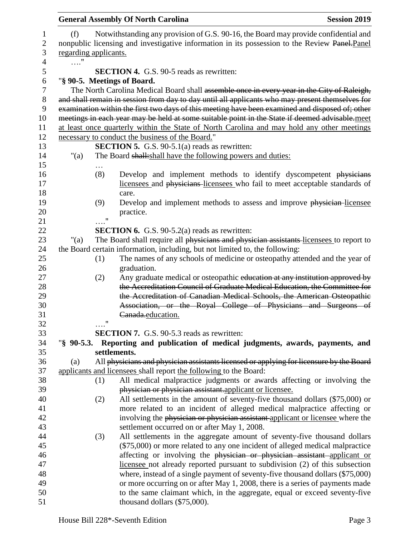|                              |                    | <b>General Assembly Of North Carolina</b>                                                                                                                                                                                                                                                                                                                                                          | <b>Session 2019</b> |
|------------------------------|--------------------|----------------------------------------------------------------------------------------------------------------------------------------------------------------------------------------------------------------------------------------------------------------------------------------------------------------------------------------------------------------------------------------------------|---------------------|
| (f)<br>regarding applicants. |                    | Notwithstanding any provision of G.S. 90-16, the Board may provide confidential and<br>nonpublic licensing and investigative information in its possession to the Review Panel-Panel                                                                                                                                                                                                               |                     |
| $\ldots$ "                   |                    |                                                                                                                                                                                                                                                                                                                                                                                                    |                     |
|                              |                    | <b>SECTION 4.</b> G.S. 90-5 reads as rewritten:                                                                                                                                                                                                                                                                                                                                                    |                     |
|                              |                    | "§ 90-5. Meetings of Board.                                                                                                                                                                                                                                                                                                                                                                        |                     |
|                              |                    | The North Carolina Medical Board shall assemble once in every year in the City of Raleigh,<br>and shall remain in session from day to day until all applicants who may present themselves for<br>examination within the first two days of this meeting have been examined and disposed of; other<br>meetings in each year may be held at some suitable point in the State if deemed advisable.meet |                     |
|                              |                    | at least once quarterly within the State of North Carolina and may hold any other meetings                                                                                                                                                                                                                                                                                                         |                     |
|                              |                    | necessary to conduct the business of the Board."                                                                                                                                                                                                                                                                                                                                                   |                     |
|                              |                    | <b>SECTION 5.</b> G.S. $90-5.1(a)$ reads as rewritten:                                                                                                                                                                                                                                                                                                                                             |                     |
| "(a)                         |                    | The Board shall: shall have the following powers and duties:                                                                                                                                                                                                                                                                                                                                       |                     |
|                              |                    |                                                                                                                                                                                                                                                                                                                                                                                                    |                     |
|                              | (8)                | Develop and implement methods to identify dyscompetent physicians<br>licensees and physicians licensees who fail to meet acceptable standards of<br>care.                                                                                                                                                                                                                                          |                     |
|                              | (9)                | Develop and implement methods to assess and improve physician-licensee                                                                                                                                                                                                                                                                                                                             |                     |
|                              |                    | practice.                                                                                                                                                                                                                                                                                                                                                                                          |                     |
|                              | . "                |                                                                                                                                                                                                                                                                                                                                                                                                    |                     |
|                              |                    | <b>SECTION 6.</b> G.S. 90-5.2(a) reads as rewritten:                                                                                                                                                                                                                                                                                                                                               |                     |
| " $(a)$                      |                    | The Board shall require all physicians and physician assistants-licensees to report to                                                                                                                                                                                                                                                                                                             |                     |
|                              |                    | the Board certain information, including, but not limited to, the following:                                                                                                                                                                                                                                                                                                                       |                     |
|                              | (1)                | The names of any schools of medicine or osteopathy attended and the year of                                                                                                                                                                                                                                                                                                                        |                     |
|                              |                    | graduation.                                                                                                                                                                                                                                                                                                                                                                                        |                     |
|                              | (2)                | Any graduate medical or osteopathic education at any institution approved by                                                                                                                                                                                                                                                                                                                       |                     |
|                              |                    | the Accreditation Council of Graduate Medical Education, the Committee for                                                                                                                                                                                                                                                                                                                         |                     |
|                              |                    | the Accreditation of Canadian Medical Schools, the American Osteopathic                                                                                                                                                                                                                                                                                                                            |                     |
|                              |                    | Association, or the Royal College of Physicians and Surgeons of                                                                                                                                                                                                                                                                                                                                    |                     |
|                              |                    | Canada.education.                                                                                                                                                                                                                                                                                                                                                                                  |                     |
|                              | $\pmb{\mathsf{H}}$ |                                                                                                                                                                                                                                                                                                                                                                                                    |                     |
|                              |                    | <b>SECTION 7.</b> G.S. 90-5.3 reads as rewritten:                                                                                                                                                                                                                                                                                                                                                  |                     |
| $\%$ 90-5.3.                 |                    | Reporting and publication of medical judgments, awards, payments, and                                                                                                                                                                                                                                                                                                                              |                     |
|                              |                    | settlements.                                                                                                                                                                                                                                                                                                                                                                                       |                     |
| (a)                          |                    | All physicians and physician assistants licensed or applying for licensure by the Board                                                                                                                                                                                                                                                                                                            |                     |
|                              |                    | applicants and licensees shall report the following to the Board:                                                                                                                                                                                                                                                                                                                                  |                     |
|                              | (1)                | All medical malpractice judgments or awards affecting or involving the                                                                                                                                                                                                                                                                                                                             |                     |
|                              |                    | physician or physician assistant.applicant or licensee.                                                                                                                                                                                                                                                                                                                                            |                     |
|                              | (2)                | All settlements in the amount of seventy-five thousand dollars (\$75,000) or                                                                                                                                                                                                                                                                                                                       |                     |
|                              |                    | more related to an incident of alleged medical malpractice affecting or                                                                                                                                                                                                                                                                                                                            |                     |
|                              |                    | involving the physician or physician assistant applicant or licensee where the<br>settlement occurred on or after May 1, 2008.                                                                                                                                                                                                                                                                     |                     |
|                              | (3)                | All settlements in the aggregate amount of seventy-five thousand dollars                                                                                                                                                                                                                                                                                                                           |                     |
|                              |                    | (\$75,000) or more related to any one incident of alleged medical malpractice                                                                                                                                                                                                                                                                                                                      |                     |
|                              |                    | affecting or involving the physician or physician assistant applicant or                                                                                                                                                                                                                                                                                                                           |                     |
|                              |                    | licensee not already reported pursuant to subdivision (2) of this subsection                                                                                                                                                                                                                                                                                                                       |                     |
|                              |                    | where, instead of a single payment of seventy-five thousand dollars (\$75,000)                                                                                                                                                                                                                                                                                                                     |                     |
|                              |                    | or more occurring on or after May 1, 2008, there is a series of payments made                                                                                                                                                                                                                                                                                                                      |                     |
|                              |                    | to the same claimant which, in the aggregate, equal or exceed seventy-five                                                                                                                                                                                                                                                                                                                         |                     |
|                              |                    | thousand dollars (\$75,000).                                                                                                                                                                                                                                                                                                                                                                       |                     |
|                              |                    |                                                                                                                                                                                                                                                                                                                                                                                                    |                     |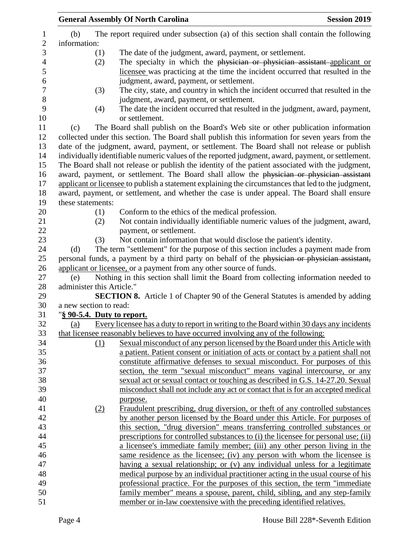|                           |     | <b>General Assembly Of North Carolina</b>                                                                                                                                                        | <b>Session 2019</b> |
|---------------------------|-----|--------------------------------------------------------------------------------------------------------------------------------------------------------------------------------------------------|---------------------|
| (b)                       |     | The report required under subsection (a) of this section shall contain the following                                                                                                             |                     |
| information:              |     |                                                                                                                                                                                                  |                     |
|                           | (1) | The date of the judgment, award, payment, or settlement.                                                                                                                                         |                     |
|                           | (2) | The specialty in which the physician or physician assistant applicant or                                                                                                                         |                     |
|                           |     | licensee was practicing at the time the incident occurred that resulted in the                                                                                                                   |                     |
|                           |     | judgment, award, payment, or settlement.                                                                                                                                                         |                     |
|                           | (3) | The city, state, and country in which the incident occurred that resulted in the                                                                                                                 |                     |
|                           |     | judgment, award, payment, or settlement.                                                                                                                                                         |                     |
|                           | (4) | The date the incident occurred that resulted in the judgment, award, payment,                                                                                                                    |                     |
|                           |     | or settlement.                                                                                                                                                                                   |                     |
| (c)                       |     | The Board shall publish on the Board's Web site or other publication information                                                                                                                 |                     |
|                           |     | collected under this section. The Board shall publish this information for seven years from the                                                                                                  |                     |
|                           |     | date of the judgment, award, payment, or settlement. The Board shall not release or publish                                                                                                      |                     |
|                           |     | individually identifiable numeric values of the reported judgment, award, payment, or settlement.                                                                                                |                     |
|                           |     | The Board shall not release or publish the identity of the patient associated with the judgment,                                                                                                 |                     |
|                           |     |                                                                                                                                                                                                  |                     |
|                           |     | award, payment, or settlement. The Board shall allow the physician or physician assistant<br>applicant or licensee to publish a statement explaining the circumstances that led to the judgment, |                     |
|                           |     | award, payment, or settlement, and whether the case is under appeal. The Board shall ensure                                                                                                      |                     |
| these statements:         |     |                                                                                                                                                                                                  |                     |
|                           | (1) | Conform to the ethics of the medical profession.                                                                                                                                                 |                     |
|                           | (2) | Not contain individually identifiable numeric values of the judgment, award,                                                                                                                     |                     |
|                           |     | payment, or settlement.                                                                                                                                                                          |                     |
|                           | (3) | Not contain information that would disclose the patient's identity.                                                                                                                              |                     |
| (d)                       |     | The term "settlement" for the purpose of this section includes a payment made from                                                                                                               |                     |
|                           |     | personal funds, a payment by a third party on behalf of the physician or physician assistant,                                                                                                    |                     |
|                           |     | applicant or licensee, or a payment from any other source of funds.                                                                                                                              |                     |
| (e)                       |     | Nothing in this section shall limit the Board from collecting information needed to                                                                                                              |                     |
| administer this Article." |     |                                                                                                                                                                                                  |                     |
|                           |     | <b>SECTION 8.</b> Article 1 of Chapter 90 of the General Statutes is amended by adding                                                                                                           |                     |
| a new section to read:    |     |                                                                                                                                                                                                  |                     |
|                           |     | "§ 90-5.4. Duty to report.                                                                                                                                                                       |                     |
| (a)                       |     | Every licensee has a duty to report in writing to the Board within 30 days any incidents                                                                                                         |                     |
|                           |     | that licensee reasonably believes to have occurred involving any of the following:                                                                                                               |                     |
|                           | (1) | Sexual misconduct of any person licensed by the Board under this Article with                                                                                                                    |                     |
|                           |     | a patient. Patient consent or initiation of acts or contact by a patient shall not                                                                                                               |                     |
|                           |     | constitute affirmative defenses to sexual misconduct. For purposes of this                                                                                                                       |                     |
|                           |     | section, the term "sexual misconduct" means vaginal intercourse, or any                                                                                                                          |                     |
|                           |     | sexual act or sexual contact or touching as described in G.S. 14-27.20. Sexual                                                                                                                   |                     |
|                           |     | misconduct shall not include any act or contact that is for an accepted medical                                                                                                                  |                     |
|                           |     |                                                                                                                                                                                                  |                     |
|                           |     | purpose.<br>Fraudulent prescribing, drug diversion, or theft of any controlled substances                                                                                                        |                     |
|                           | (2) |                                                                                                                                                                                                  |                     |
|                           |     | by another person licensed by the Board under this Article. For purposes of                                                                                                                      |                     |
|                           |     | this section, "drug diversion" means transferring controlled substances or                                                                                                                       |                     |
|                           |     | prescriptions for controlled substances to (i) the licensee for personal use; (ii)                                                                                                               |                     |
|                           |     | a licensee's immediate family member; (iii) any other person living in the                                                                                                                       |                     |
|                           |     | same residence as the licensee; (iv) any person with whom the licensee is                                                                                                                        |                     |
|                           |     | having a sexual relationship; or (v) any individual unless for a legitimate                                                                                                                      |                     |
|                           |     | medical purpose by an individual practitioner acting in the usual course of his                                                                                                                  |                     |
|                           |     | professional practice. For the purposes of this section, the term "immediate"                                                                                                                    |                     |
|                           |     | family member" means a spouse, parent, child, sibling, and any step-family                                                                                                                       |                     |
|                           |     | member or in-law coextensive with the preceding identified relatives.                                                                                                                            |                     |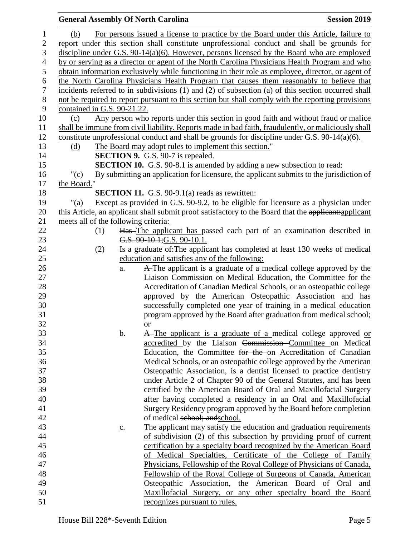#### **General Assembly Of North Carolina Session 2019 Session 2019**  (b) For persons issued a license to practice by the Board under this Article, failure to report under this section shall constitute unprofessional conduct and shall be grounds for discipline under G.S. 90-14(a)(6). However, persons licensed by the Board who are employed by or serving as a director or agent of the North Carolina Physicians Health Program and who obtain information exclusively while functioning in their role as employee, director, or agent of the North Carolina Physicians Health Program that causes them reasonably to believe that incidents referred to in subdivisions (1) and (2) of subsection (a) of this section occurred shall not be required to report pursuant to this section but shall comply with the reporting provisions contained in G.S. 90-21.22. (c) Any person who reports under this section in good faith and without fraud or malice shall be immune from civil liability. Reports made in bad faith, fraudulently, or maliciously shall constitute unprofessional conduct and shall be grounds for discipline under G.S. 90-14(a)(6). (d) The Board may adopt rules to implement this section." **SECTION 9.** G.S. 90-7 is repealed. **SECTION 10.** G.S. 90-8.1 is amended by adding a new subsection to read: "(c) By submitting an application for licensure, the applicant submits to the jurisdiction of 17 the Board." **SECTION 11.** G.S. 90-9.1(a) reads as rewritten: "(a) Except as provided in G.S. 90-9.2, to be eligible for licensure as a physician under 20 this Article, an applicant shall submit proof satisfactory to the Board that the applicant: applicant meets all of the following criteria: (1) Has The applicant has passed each part of an examination described in **G.S. 90-10.1; G.S. 90-10.1.** 24 (2) Is a graduate of: The applicant has completed at least 130 weeks of medical education and satisfies any of the following: a. A The applicant is a graduate of a medical college approved by the Liaison Commission on Medical Education, the Committee for the Accreditation of Canadian Medical Schools, or an osteopathic college approved by the American Osteopathic Association and has successfully completed one year of training in a medical education program approved by the Board after graduation from medical school; or b. A The applicant is a graduate of a medical college approved or accredited by the Liaison Commission Committee on Medical Education, the Committee for the on Accreditation of Canadian Medical Schools, or an osteopathic college approved by the American Osteopathic Association, is a dentist licensed to practice dentistry under Article 2 of Chapter 90 of the General Statutes, and has been certified by the American Board of Oral and Maxillofacial Surgery after having completed a residency in an Oral and Maxillofacial Surgery Residency program approved by the Board before completion of medical school; andschool. 43 c. The applicant may satisfy the education and graduation requirements of subdivision (2) of this subsection by providing proof of current certification by a specialty board recognized by the American Board of Medical Specialties, Certificate of the College of Family Physicians, Fellowship of the Royal College of Physicians of Canada, Fellowship of the Royal College of Surgeons of Canada, American Osteopathic Association, the American Board of Oral and Maxillofacial Surgery, or any other specialty board the Board recognizes pursuant to rules.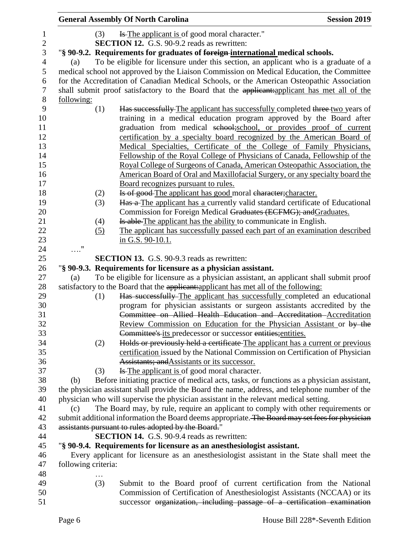|                |                     |     | <b>General Assembly Of North Carolina</b>                                                       | <b>Session 2019</b> |
|----------------|---------------------|-----|-------------------------------------------------------------------------------------------------|---------------------|
| $\mathbf{1}$   |                     | (3) | Is The applicant is of good moral character."                                                   |                     |
| $\overline{2}$ |                     |     | <b>SECTION 12.</b> G.S. 90-9.2 reads as rewritten:                                              |                     |
| $\mathfrak{Z}$ |                     |     | "§ 90-9.2. Requirements for graduates of foreign-international medical schools.                 |                     |
| 4              | (a)                 |     | To be eligible for licensure under this section, an applicant who is a graduate of a            |                     |
| 5              |                     |     | medical school not approved by the Liaison Commission on Medical Education, the Committee       |                     |
| 6              |                     |     | for the Accreditation of Canadian Medical Schools, or the American Osteopathic Association      |                     |
| $\tau$         |                     |     | shall submit proof satisfactory to the Board that the applicant: applicant has met all of the   |                     |
| $8\,$          | following:          |     |                                                                                                 |                     |
| 9              |                     | (1) | Has successfully The applicant has successfully completed three two years of                    |                     |
| 10             |                     |     | training in a medical education program approved by the Board after                             |                     |
| 11             |                     |     | graduation from medical school; school, or provides proof of current                            |                     |
| 12             |                     |     | certification by a specialty board recognized by the American Board of                          |                     |
| 13             |                     |     | Medical Specialties, Certificate of the College of Family Physicians,                           |                     |
| 14             |                     |     | Fellowship of the Royal College of Physicians of Canada, Fellowship of the                      |                     |
| 15             |                     |     | Royal College of Surgeons of Canada, American Osteopathic Association, the                      |                     |
| 16             |                     |     | American Board of Oral and Maxillofacial Surgery, or any specialty board the                    |                     |
| 17             |                     |     | Board recognizes pursuant to rules.                                                             |                     |
| 18             |                     | (2) | Is of good-The applicant has good moral character; character.                                   |                     |
| 19             |                     | (3) | Has a The applicant has a currently valid standard certificate of Educational                   |                     |
| 20             |                     |     | Commission for Foreign Medical Graduates (ECFMG); and Graduates.                                |                     |
| 21             |                     | (4) | Is able The applicant has the ability to communicate in English.                                |                     |
| 22             |                     | (5) | The applicant has successfully passed each part of an examination described                     |                     |
| 23             |                     |     | in G.S. 90-10.1.                                                                                |                     |
| 24             | $\ldots$ "          |     |                                                                                                 |                     |
| 25             |                     |     | <b>SECTION 13.</b> G.S. 90-9.3 reads as rewritten:                                              |                     |
| 26             |                     |     | "§ 90-9.3. Requirements for licensure as a physician assistant.                                 |                     |
| 27             | (a)                 |     | To be eligible for licensure as a physician assistant, an applicant shall submit proof          |                     |
| 28             |                     |     | satisfactory to the Board that the applicant: applicant has met all of the following:           |                     |
| 29             |                     | (1) | Has successfully-The applicant has successfully completed an educational                        |                     |
| 30             |                     |     | program for physician assistants or surgeon assistants accredited by the                        |                     |
| 31             |                     |     | Committee on Allied Health Education and Accreditation Accreditation                            |                     |
| 32             |                     |     | Review Commission on Education for the Physician Assistant or by the                            |                     |
| 33             |                     |     | Committee's its predecessor or successor entities; entities.                                    |                     |
| 34             |                     | (2) | Holds or previously held a certificate The applicant has a current or previous                  |                     |
| 35             |                     |     | certification issued by the National Commission on Certification of Physician                   |                     |
| 36             |                     |     | Assistants; and Assistants or its successor.                                                    |                     |
| 37             |                     | (3) | Is The applicant is of good moral character.                                                    |                     |
| 38             | (b)                 |     | Before initiating practice of medical acts, tasks, or functions as a physician assistant,       |                     |
| 39             |                     |     | the physician assistant shall provide the Board the name, address, and telephone number of the  |                     |
| 40             |                     |     | physician who will supervise the physician assistant in the relevant medical setting.           |                     |
| 41             | (c)                 |     | The Board may, by rule, require an applicant to comply with other requirements or               |                     |
| 42             |                     |     | submit additional information the Board deems appropriate. The Board may set fees for physician |                     |
| 43             |                     |     | assistants pursuant to rules adopted by the Board."                                             |                     |
| 44             |                     |     | <b>SECTION 14.</b> G.S. 90-9.4 reads as rewritten:                                              |                     |
| 45             |                     |     | "§ 90-9.4. Requirements for licensure as an anesthesiologist assistant.                         |                     |
| 46             |                     |     | Every applicant for licensure as an anesthesiologist assistant in the State shall meet the      |                     |
| 47             | following criteria: |     |                                                                                                 |                     |
| 48             |                     |     |                                                                                                 |                     |
| 49             |                     | (3) | Submit to the Board proof of current certification from the National                            |                     |
| 50             |                     |     | Commission of Certification of Anesthesiologist Assistants (NCCAA) or its                       |                     |
| 51             |                     |     | successor organization, including passage of a certification examination                        |                     |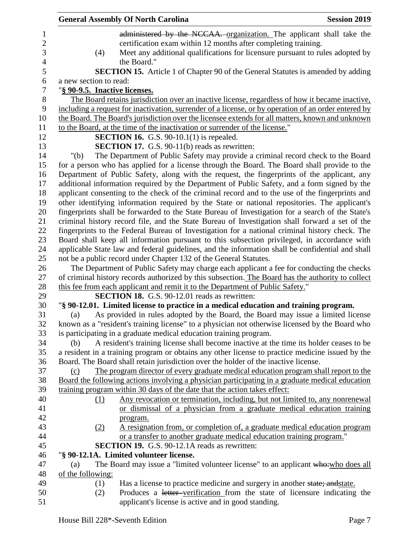|                               | <b>General Assembly Of North Carolina</b>                                                            | <b>Session 2019</b> |
|-------------------------------|------------------------------------------------------------------------------------------------------|---------------------|
|                               | administered by the NCCAA. organization. The applicant shall take the                                |                     |
|                               | certification exam within 12 months after completing training.                                       |                     |
| (4)                           | Meet any additional qualifications for licensure pursuant to rules adopted by                        |                     |
|                               | the Board."                                                                                          |                     |
|                               | SECTION 15. Article 1 of Chapter 90 of the General Statutes is amended by adding                     |                     |
| a new section to read:        |                                                                                                      |                     |
| "§ 90-9.5. Inactive licenses. |                                                                                                      |                     |
|                               | The Board retains jurisdiction over an inactive license, regardless of how it became inactive,       |                     |
|                               | including a request for inactivation, surrender of a license, or by operation of an order entered by |                     |
|                               | the Board. The Board's jurisdiction over the licensee extends for all matters, known and unknown     |                     |
|                               | to the Board, at the time of the inactivation or surrender of the license."                          |                     |
|                               | <b>SECTION 16.</b> G.S. $90-10.1(1)$ is repealed.                                                    |                     |
|                               |                                                                                                      |                     |
|                               | <b>SECTION 17.</b> G.S. 90-11(b) reads as rewritten:                                                 |                     |
| " $(b)$                       | The Department of Public Safety may provide a criminal record check to the Board                     |                     |
|                               | for a person who has applied for a license through the Board. The Board shall provide to the         |                     |
|                               | Department of Public Safety, along with the request, the fingerprints of the applicant, any          |                     |
|                               | additional information required by the Department of Public Safety, and a form signed by the         |                     |
|                               | applicant consenting to the check of the criminal record and to the use of the fingerprints and      |                     |
|                               | other identifying information required by the State or national repositories. The applicant's        |                     |
|                               | fingerprints shall be forwarded to the State Bureau of Investigation for a search of the State's     |                     |
|                               | criminal history record file, and the State Bureau of Investigation shall forward a set of the       |                     |
|                               | fingerprints to the Federal Bureau of Investigation for a national criminal history check. The       |                     |
|                               | Board shall keep all information pursuant to this subsection privileged, in accordance with          |                     |
|                               | applicable State law and federal guidelines, and the information shall be confidential and shall     |                     |
|                               | not be a public record under Chapter 132 of the General Statutes.                                    |                     |
|                               | The Department of Public Safety may charge each applicant a fee for conducting the checks            |                     |
|                               | of criminal history records authorized by this subsection. The Board has the authority to collect    |                     |
|                               | this fee from each applicant and remit it to the Department of Public Safety."                       |                     |
|                               | SECTION 18. G.S. 90-12.01 reads as rewritten:                                                        |                     |
|                               | "§ 90-12.01. Limited license to practice in a medical education and training program.                |                     |
| (a)                           | As provided in rules adopted by the Board, the Board may issue a limited license                     |                     |
|                               | known as a "resident's training license" to a physician not otherwise licensed by the Board who      |                     |
|                               | is participating in a graduate medical education training program.                                   |                     |
| (b)                           | A resident's training license shall become inactive at the time its holder ceases to be              |                     |
|                               | a resident in a training program or obtains any other license to practice medicine issued by the     |                     |
|                               | Board. The Board shall retain jurisdiction over the holder of the inactive license.                  |                     |
| (c)                           | The program director of every graduate medical education program shall report to the                 |                     |
|                               | Board the following actions involving a physician participating in a graduate medical education      |                     |
|                               | training program within 30 days of the date that the action takes effect:                            |                     |
| (1)                           | Any revocation or termination, including, but not limited to, any nonrenewal                         |                     |
|                               | or dismissal of a physician from a graduate medical education training                               |                     |
|                               | program.                                                                                             |                     |
| (2)                           | A resignation from, or completion of, a graduate medical education program                           |                     |
|                               | or a transfer to another graduate medical education training program."                               |                     |
|                               | <b>SECTION 19.</b> G.S. 90-12.1A reads as rewritten:                                                 |                     |
|                               | "§ 90-12.1A. Limited volunteer license.                                                              |                     |
| (a)                           | The Board may issue a "limited volunteer license" to an applicant who: who does all                  |                     |
| of the following:             |                                                                                                      |                     |
| (1)                           | Has a license to practice medicine and surgery in another state; and state.                          |                     |
| (2)                           | Produces a letter-verification from the state of licensure indicating the                            |                     |
|                               | applicant's license is active and in good standing.                                                  |                     |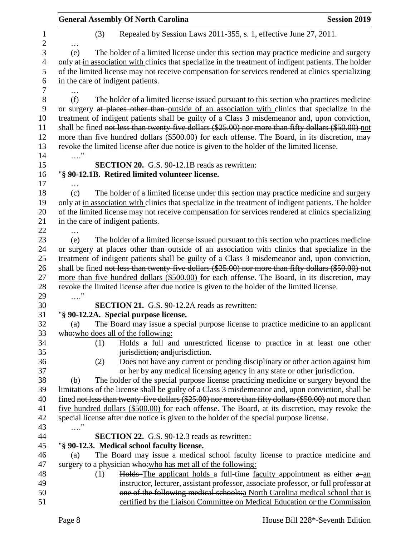|                     |            |     | <b>General Assembly Of North Carolina</b>                                                             | <b>Session 2019</b> |
|---------------------|------------|-----|-------------------------------------------------------------------------------------------------------|---------------------|
| 1<br>$\overline{c}$ |            | (3) | Repealed by Session Laws 2011-355, s. 1, effective June 27, 2011.                                     |                     |
| $\overline{3}$      | (e)        |     | The holder of a limited license under this section may practice medicine and surgery                  |                     |
| $\overline{4}$      |            |     | only at in association with clinics that specialize in the treatment of indigent patients. The holder |                     |
| 5                   |            |     | of the limited license may not receive compensation for services rendered at clinics specializing     |                     |
| 6                   |            |     | in the care of indigent patients.                                                                     |                     |
| 7                   |            |     |                                                                                                       |                     |
| $8\,$               | (f)        |     | The holder of a limited license issued pursuant to this section who practices medicine                |                     |
| $\boldsymbol{9}$    |            |     | or surgery at places other than outside of an association with clinics that specialize in the         |                     |
| 10                  |            |     | treatment of indigent patients shall be guilty of a Class 3 misdemeanor and, upon conviction,         |                     |
| 11                  |            |     | shall be fined not less than twenty-five dollars (\$25.00) nor more than fifty dollars (\$50.00) not  |                     |
| 12                  |            |     | more than five hundred dollars (\$500.00) for each offense. The Board, in its discretion, may         |                     |
| 13<br>14            | $\ldots$ " |     | revoke the limited license after due notice is given to the holder of the limited license.            |                     |
| 15                  |            |     | <b>SECTION 20.</b> G.S. 90-12.1B reads as rewritten:                                                  |                     |
| 16                  |            |     | "§ 90-12.1B. Retired limited volunteer license.                                                       |                     |
| 17                  |            |     |                                                                                                       |                     |
| 18                  | (c)        |     | The holder of a limited license under this section may practice medicine and surgery                  |                     |
| 19                  |            |     | only at in association with clinics that specialize in the treatment of indigent patients. The holder |                     |
| 20                  |            |     | of the limited license may not receive compensation for services rendered at clinics specializing     |                     |
| 21                  |            |     | in the care of indigent patients.                                                                     |                     |
| 22                  |            |     |                                                                                                       |                     |
| 23                  | (e)        |     | The holder of a limited license issued pursuant to this section who practices medicine                |                     |
| 24                  |            |     | or surgery at places other than outside of an association with clinics that specialize in the         |                     |
| 25                  |            |     | treatment of indigent patients shall be guilty of a Class 3 misdemeanor and, upon conviction,         |                     |
| 26                  |            |     | shall be fined not less than twenty-five dollars (\$25.00) nor more than fifty dollars (\$50.00) not  |                     |
| 27                  |            |     | more than five hundred dollars (\$500.00) for each offense. The Board, in its discretion, may         |                     |
| 28                  |            |     | revoke the limited license after due notice is given to the holder of the limited license.            |                     |
| 29                  | $\ldots$ " |     |                                                                                                       |                     |
| 30                  |            |     | SECTION 21. G.S. 90-12.2A reads as rewritten:                                                         |                     |
| 31                  |            |     | "§ 90-12.2A. Special purpose license.                                                                 |                     |
| 32                  | (a)        |     | The Board may issue a special purpose license to practice medicine to an applicant                    |                     |
| 33                  |            |     | who: who does all of the following:                                                                   |                     |
| 34                  |            | (1) | Holds a full and unrestricted license to practice in at least one other                               |                     |
| 35                  |            |     | jurisdiction; and jurisdiction.                                                                       |                     |
| 36                  |            | (2) | Does not have any current or pending disciplinary or other action against him                         |                     |
| 37                  |            |     | or her by any medical licensing agency in any state or other jurisdiction.                            |                     |
| 38                  | (b)        |     | The holder of the special purpose license practicing medicine or surgery beyond the                   |                     |
| 39                  |            |     | limitations of the license shall be guilty of a Class 3 misdemeanor and, upon conviction, shall be    |                     |
| 40                  |            |     | fined not less than twenty-five dollars (\$25.00) nor more than fifty dollars (\$50.00) not more than |                     |
| 41                  |            |     | five hundred dollars (\$500.00) for each offense. The Board, at its discretion, may revoke the        |                     |
| 42                  |            |     | special license after due notice is given to the holder of the special purpose license.               |                     |
| 43                  | $\ldots$ " |     |                                                                                                       |                     |
| $44\,$              |            |     | <b>SECTION 22.</b> G.S. 90-12.3 reads as rewritten:                                                   |                     |
| 45                  |            |     | "§ 90-12.3. Medical school faculty license.                                                           |                     |
| 46                  | (a)        |     | The Board may issue a medical school faculty license to practice medicine and                         |                     |
| 47                  |            |     | surgery to a physician who: who has met all of the following:                                         |                     |
| 48                  |            | (1) | Holds-The applicant holds a full-time faculty appointment as either a-an                              |                     |
| 49                  |            |     | instructor, lecturer, assistant professor, associate professor, or full professor at                  |                     |
| 50                  |            |     | one of the following medical schools: a North Carolina medical school that is                         |                     |
| 51                  |            |     | certified by the Liaison Committee on Medical Education or the Commission                             |                     |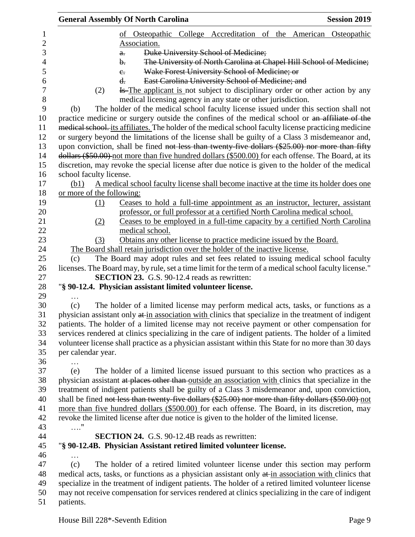|                           | <b>General Assembly Of North Carolina</b>                                                             | <b>Session 2019</b> |
|---------------------------|-------------------------------------------------------------------------------------------------------|---------------------|
|                           | of Osteopathic College Accreditation of the American Osteopathic                                      |                     |
|                           | Association.                                                                                          |                     |
|                           | Duke University School of Medicine;<br>$a$ .                                                          |                     |
|                           | The University of North Carolina at Chapel Hill School of Medicine;<br>$\mathbf{b}$ .                 |                     |
|                           | Wake Forest University School of Medicine; or<br>$e_{\cdot}$                                          |                     |
|                           | East Carolina University School of Medicine; and<br>d.                                                |                     |
| (2)                       | <del>Is The applicant is not subject</del> to disciplinary order or other action by any               |                     |
|                           | medical licensing agency in any state or other jurisdiction.                                          |                     |
| (b)                       | The holder of the medical school faculty license issued under this section shall not                  |                     |
|                           | practice medicine or surgery outside the confines of the medical school or an affiliate of the        |                     |
|                           | medical school, its affiliates. The holder of the medical school faculty license practicing medicine  |                     |
|                           | or surgery beyond the limitations of the license shall be guilty of a Class 3 misdemeanor and,        |                     |
|                           | upon conviction, shall be fined not less than twenty-five dollars (\$25.00) nor more than fifty       |                     |
|                           | dollars (\$50.00) not more than five hundred dollars (\$500.00) for each offense. The Board, at its   |                     |
|                           | discretion, may revoke the special license after due notice is given to the holder of the medical     |                     |
| school faculty license.   |                                                                                                       |                     |
| (b1)                      | A medical school faculty license shall become inactive at the time its holder does one                |                     |
| or more of the following: |                                                                                                       |                     |
| (1)                       | Ceases to hold a full-time appointment as an instructor, lecturer, assistant                          |                     |
|                           | professor, or full professor at a certified North Carolina medical school.                            |                     |
| (2)                       | Ceases to be employed in a full-time capacity by a certified North Carolina                           |                     |
|                           | medical school.                                                                                       |                     |
| (3)                       | Obtains any other license to practice medicine issued by the Board.                                   |                     |
|                           | The Board shall retain jurisdiction over the holder of the inactive license.                          |                     |
| (c)                       | The Board may adopt rules and set fees related to issuing medical school faculty                      |                     |
|                           | licenses. The Board may, by rule, set a time limit for the term of a medical school faculty license." |                     |
|                           | <b>SECTION 23.</b> G.S. 90-12.4 reads as rewritten:                                                   |                     |
|                           | "§ 90-12.4. Physician assistant limited volunteer license.                                            |                     |
| .                         |                                                                                                       |                     |
| (c)                       | The holder of a limited license may perform medical acts, tasks, or functions as a                    |                     |
|                           | physician assistant only at in association with clinics that specialize in the treatment of indigent  |                     |
|                           | patients. The holder of a limited license may not receive payment or other compensation for           |                     |
|                           | services rendered at clinics specializing in the care of indigent patients. The holder of a limited   |                     |
|                           | volunteer license shall practice as a physician assistant within this State for no more than 30 days  |                     |
| per calendar year.        |                                                                                                       |                     |
|                           |                                                                                                       |                     |
| (e)                       | The holder of a limited license issued pursuant to this section who practices as a                    |                     |
|                           | physician assistant at places other than outside an association with clinics that specialize in the   |                     |
|                           | treatment of indigent patients shall be guilty of a Class 3 misdemeanor and, upon conviction,         |                     |
|                           | shall be fined not less than twenty-five dollars (\$25.00) nor more than fifty dollars (\$50.00) not  |                     |
|                           | more than five hundred dollars (\$500.00) for each offense. The Board, in its discretion, may         |                     |
|                           | revoke the limited license after due notice is given to the holder of the limited license.            |                     |
| . "                       |                                                                                                       |                     |
|                           | <b>SECTION 24.</b> G.S. 90-12.4B reads as rewritten:                                                  |                     |
|                           | "§ 90-12.4B. Physician Assistant retired limited volunteer license.                                   |                     |
| .                         |                                                                                                       |                     |
| (c)                       | The holder of a retired limited volunteer license under this section may perform                      |                     |
|                           | medical acts, tasks, or functions as a physician assistant only at in association with clinics that   |                     |
|                           | specialize in the treatment of indigent patients. The holder of a retired limited volunteer license   |                     |
|                           | may not receive compensation for services rendered at clinics specializing in the care of indigent    |                     |
| patients.                 |                                                                                                       |                     |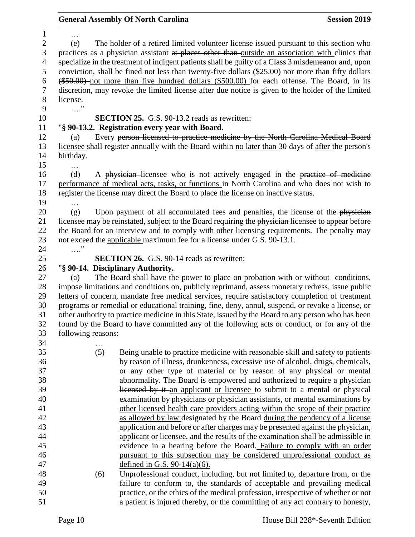# **General Assembly Of North Carolina Session 2019**

| $\mathbf{1}$             | .                  |                                                                                                     |
|--------------------------|--------------------|-----------------------------------------------------------------------------------------------------|
| $\overline{2}$           | (e)                | The holder of a retired limited volunteer license issued pursuant to this section who               |
| 3                        |                    | practices as a physician assistant at places other than outside an association with clinics that    |
| $\overline{\mathcal{A}}$ |                    | specialize in the treatment of indigent patients shall be guilty of a Class 3 misdemeanor and, upon |
| 5                        |                    | conviction, shall be fined not less than twenty-five dollars (\$25.00) nor more than fifty dollars  |
| 6                        |                    | (\$50.00) not more than five hundred dollars (\$500.00) for each offense. The Board, in its         |
| $\boldsymbol{7}$         |                    | discretion, may revoke the limited license after due notice is given to the holder of the limited   |
| $8\,$                    | license.           |                                                                                                     |
| 9                        | $\ldots$ "         |                                                                                                     |
| 10                       |                    | <b>SECTION 25.</b> G.S. 90-13.2 reads as rewritten:                                                 |
|                          |                    |                                                                                                     |
| 11                       |                    | "§ 90-13.2. Registration every year with Board.                                                     |
| 12                       | (a)                | Every person licensed to practice medicine by the North Carolina Medical Board                      |
| 13                       |                    | licensee shall register annually with the Board within no later than 30 days of after the person's  |
| 14                       | birthday.          |                                                                                                     |
| 15                       |                    |                                                                                                     |
| 16                       | (d)                | A physician licensee who is not actively engaged in the practice of medicine                        |
| 17                       |                    | performance of medical acts, tasks, or functions in North Carolina and who does not wish to         |
| 18                       |                    | register the license may direct the Board to place the license on inactive status.                  |
| 19                       |                    |                                                                                                     |
| 20                       | (g)                | Upon payment of all accumulated fees and penalties, the license of the physician                    |
| 21                       |                    | licensee may be reinstated, subject to the Board requiring the physician-licensee to appear before  |
| 22                       |                    | the Board for an interview and to comply with other licensing requirements. The penalty may         |
| 23                       |                    | not exceed the applicable maximum fee for a license under G.S. 90-13.1.                             |
| 24                       | $\ldots$ "         |                                                                                                     |
| 25                       |                    | <b>SECTION 26.</b> G.S. 90-14 reads as rewritten:                                                   |
| 26                       |                    | "§ 90-14. Disciplinary Authority.                                                                   |
| 27                       | (a)                | The Board shall have the power to place on probation with or without -conditions,                   |
| 28                       |                    | impose limitations and conditions on, publicly reprimand, assess monetary redress, issue public     |
| 29                       |                    | letters of concern, mandate free medical services, require satisfactory completion of treatment     |
| 30                       |                    | programs or remedial or educational training, fine, deny, annul, suspend, or revoke a license, or   |
| 31                       |                    | other authority to practice medicine in this State, issued by the Board to any person who has been  |
| 32                       |                    | found by the Board to have committed any of the following acts or conduct, or for any of the        |
| 33                       |                    |                                                                                                     |
|                          |                    |                                                                                                     |
|                          | following reasons: |                                                                                                     |
| 34                       | $\cdots$           |                                                                                                     |
| 35                       | (5)                | Being unable to practice medicine with reasonable skill and safety to patients                      |
| 36                       |                    | by reason of illness, drunkenness, excessive use of alcohol, drugs, chemicals,                      |
| 37                       |                    | or any other type of material or by reason of any physical or mental                                |
| 38                       |                    | abnormality. The Board is empowered and authorized to require a physician                           |
| 39                       |                    | licensed by it an applicant or licensee to submit to a mental or physical                           |
| 40                       |                    | examination by physicians or physician assistants, or mental examinations by                        |
| 41                       |                    | other licensed health care providers acting within the scope of their practice                      |
| 42                       |                    | as allowed by law designated by the Board during the pendency of a license                          |
| 43                       |                    | application and before or after charges may be presented against the physician,                     |
| 44                       |                    | applicant or licensee, and the results of the examination shall be admissible in                    |
| 45                       |                    | evidence in a hearing before the Board. Failure to comply with an order                             |
| 46                       |                    | pursuant to this subsection may be considered unprofessional conduct as                             |
| 47                       |                    | defined in G.S. $90-14(a)(6)$ .                                                                     |
| 48                       | (6)                | Unprofessional conduct, including, but not limited to, departure from, or the                       |
| 49                       |                    | failure to conform to, the standards of acceptable and prevailing medical                           |
| 50                       |                    | practice, or the ethics of the medical profession, irrespective of whether or not                   |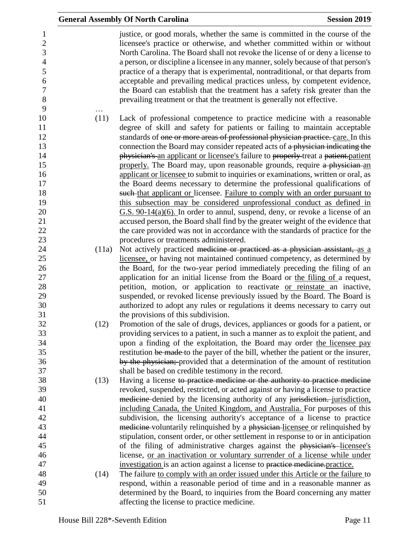| justice, or good morals, whether the same is committed in the course of the<br>$\mathbf{1}$<br>$\sqrt{2}$<br>licensee's practice or otherwise, and whether committed within or without<br>3<br>North Carolina. The Board shall not revoke the license of or deny a license to<br>$\overline{4}$<br>a person, or discipline a licensee in any manner, solely because of that person's<br>5<br>practice of a therapy that is experimental, nontraditional, or that departs from<br>6<br>acceptable and prevailing medical practices unless, by competent evidence,<br>$\overline{7}$<br>the Board can establish that the treatment has a safety risk greater than the<br>8<br>prevailing treatment or that the treatment is generally not effective.<br>9<br>10<br>(11)<br>Lack of professional competence to practice medicine with a reasonable<br>degree of skill and safety for patients or failing to maintain acceptable<br>11<br>12<br>standards of one or more areas of professional physician practice. care. In this<br>13<br>connection the Board may consider repeated acts of a physician indicating the<br>14<br>physician's an applicant or licensee's failure to properly treat a patient patient<br>15<br>properly. The Board may, upon reasonable grounds, require a physician an<br>16<br>applicant or licensee to submit to inquiries or examinations, written or oral, as<br>17<br>the Board deems necessary to determine the professional qualifications of<br>18<br>such that applicant or licensee. Failure to comply with an order pursuant to<br>19<br>this subsection may be considered unprofessional conduct as defined in<br>$G.S. 90-14(a)(6)$ . In order to annul, suspend, deny, or revoke a license of an<br>20<br>21<br>accused person, the Board shall find by the greater weight of the evidence that<br>22<br>the care provided was not in accordance with the standards of practice for the<br>23<br>procedures or treatments administered.<br>24<br>Not actively practiced medicine or practiced as a physician assistant, as a<br>(11a)<br>25<br>licensee, or having not maintained continued competency, as determined by<br>26<br>the Board, for the two-year period immediately preceding the filing of an<br>27<br>application for an initial license from the Board or the filing of a request,<br>28<br>petition, motion, or application to reactivate or reinstate an inactive,<br>29<br>suspended, or revoked license previously issued by the Board. The Board is<br>30<br>authorized to adopt any rules or regulations it deems necessary to carry out<br>31<br>the provisions of this subdivision.<br>32<br>(12)<br>Promotion of the sale of drugs, devices, appliances or goods for a patient, or<br>33<br>providing services to a patient, in such a manner as to exploit the patient, and<br>34<br>upon a finding of the exploitation, the Board may order the licensee pay<br>35<br>restitution be made to the payer of the bill, whether the patient or the insurer,<br>36<br>by the physician; provided that a determination of the amount of restitution<br>37<br>shall be based on credible testimony in the record.<br>38<br>Having a license to practice medicine or the authority to practice medicine<br>(13)<br>39<br>revoked, suspended, restricted, or acted against or having a license to practice<br>medicine-denied by the licensing authority of any jurisdiction. jurisdiction,<br>40<br>41<br>including Canada, the United Kingdom, and Australia. For purposes of this<br>42<br>subdivision, the licensing authority's acceptance of a license to practice<br>43<br>medicine-voluntarily relinquished by a physician-licensee or relinquished by<br>44<br>stipulation, consent order, or other settlement in response to or in anticipation<br>45<br>of the filing of administrative charges against the physician's licensee's<br>46<br>license, or an inactivation or voluntary surrender of a license while under<br>47<br>investigation is an action against a license to practice medicine practice.<br>48<br>The failure to comply with an order issued under this Article or the failure to<br>(14)<br>49<br>respond, within a reasonable period of time and in a reasonable manner as<br>50<br>determined by the Board, to inquiries from the Board concerning any matter |    | <b>General Assembly Of North Carolina</b>   | <b>Session 2019</b> |
|------------------------------------------------------------------------------------------------------------------------------------------------------------------------------------------------------------------------------------------------------------------------------------------------------------------------------------------------------------------------------------------------------------------------------------------------------------------------------------------------------------------------------------------------------------------------------------------------------------------------------------------------------------------------------------------------------------------------------------------------------------------------------------------------------------------------------------------------------------------------------------------------------------------------------------------------------------------------------------------------------------------------------------------------------------------------------------------------------------------------------------------------------------------------------------------------------------------------------------------------------------------------------------------------------------------------------------------------------------------------------------------------------------------------------------------------------------------------------------------------------------------------------------------------------------------------------------------------------------------------------------------------------------------------------------------------------------------------------------------------------------------------------------------------------------------------------------------------------------------------------------------------------------------------------------------------------------------------------------------------------------------------------------------------------------------------------------------------------------------------------------------------------------------------------------------------------------------------------------------------------------------------------------------------------------------------------------------------------------------------------------------------------------------------------------------------------------------------------------------------------------------------------------------------------------------------------------------------------------------------------------------------------------------------------------------------------------------------------------------------------------------------------------------------------------------------------------------------------------------------------------------------------------------------------------------------------------------------------------------------------------------------------------------------------------------------------------------------------------------------------------------------------------------------------------------------------------------------------------------------------------------------------------------------------------------------------------------------------------------------------------------------------------------------------------------------------------------------------------------------------------------------------------------------------------------------------------------------------------------------------------------------------------------------------------------------------------------------------------------------------------------------------------------------------------------------------------------------------------------------------------------------------------------------------------------------------------------------------------------------------------------------------------------------------------------------------------------------------------------------------------------------------------------------------------------------------------------------------------------------------------------------------------------------------------------------------------------------------------|----|---------------------------------------------|---------------------|
|                                                                                                                                                                                                                                                                                                                                                                                                                                                                                                                                                                                                                                                                                                                                                                                                                                                                                                                                                                                                                                                                                                                                                                                                                                                                                                                                                                                                                                                                                                                                                                                                                                                                                                                                                                                                                                                                                                                                                                                                                                                                                                                                                                                                                                                                                                                                                                                                                                                                                                                                                                                                                                                                                                                                                                                                                                                                                                                                                                                                                                                                                                                                                                                                                                                                                                                                                                                                                                                                                                                                                                                                                                                                                                                                                                                                                                                                                                                                                                                                                                                                                                                                                                                                                                                                                                                                                            |    |                                             |                     |
|                                                                                                                                                                                                                                                                                                                                                                                                                                                                                                                                                                                                                                                                                                                                                                                                                                                                                                                                                                                                                                                                                                                                                                                                                                                                                                                                                                                                                                                                                                                                                                                                                                                                                                                                                                                                                                                                                                                                                                                                                                                                                                                                                                                                                                                                                                                                                                                                                                                                                                                                                                                                                                                                                                                                                                                                                                                                                                                                                                                                                                                                                                                                                                                                                                                                                                                                                                                                                                                                                                                                                                                                                                                                                                                                                                                                                                                                                                                                                                                                                                                                                                                                                                                                                                                                                                                                                            |    |                                             |                     |
|                                                                                                                                                                                                                                                                                                                                                                                                                                                                                                                                                                                                                                                                                                                                                                                                                                                                                                                                                                                                                                                                                                                                                                                                                                                                                                                                                                                                                                                                                                                                                                                                                                                                                                                                                                                                                                                                                                                                                                                                                                                                                                                                                                                                                                                                                                                                                                                                                                                                                                                                                                                                                                                                                                                                                                                                                                                                                                                                                                                                                                                                                                                                                                                                                                                                                                                                                                                                                                                                                                                                                                                                                                                                                                                                                                                                                                                                                                                                                                                                                                                                                                                                                                                                                                                                                                                                                            |    |                                             |                     |
|                                                                                                                                                                                                                                                                                                                                                                                                                                                                                                                                                                                                                                                                                                                                                                                                                                                                                                                                                                                                                                                                                                                                                                                                                                                                                                                                                                                                                                                                                                                                                                                                                                                                                                                                                                                                                                                                                                                                                                                                                                                                                                                                                                                                                                                                                                                                                                                                                                                                                                                                                                                                                                                                                                                                                                                                                                                                                                                                                                                                                                                                                                                                                                                                                                                                                                                                                                                                                                                                                                                                                                                                                                                                                                                                                                                                                                                                                                                                                                                                                                                                                                                                                                                                                                                                                                                                                            |    |                                             |                     |
|                                                                                                                                                                                                                                                                                                                                                                                                                                                                                                                                                                                                                                                                                                                                                                                                                                                                                                                                                                                                                                                                                                                                                                                                                                                                                                                                                                                                                                                                                                                                                                                                                                                                                                                                                                                                                                                                                                                                                                                                                                                                                                                                                                                                                                                                                                                                                                                                                                                                                                                                                                                                                                                                                                                                                                                                                                                                                                                                                                                                                                                                                                                                                                                                                                                                                                                                                                                                                                                                                                                                                                                                                                                                                                                                                                                                                                                                                                                                                                                                                                                                                                                                                                                                                                                                                                                                                            |    |                                             |                     |
|                                                                                                                                                                                                                                                                                                                                                                                                                                                                                                                                                                                                                                                                                                                                                                                                                                                                                                                                                                                                                                                                                                                                                                                                                                                                                                                                                                                                                                                                                                                                                                                                                                                                                                                                                                                                                                                                                                                                                                                                                                                                                                                                                                                                                                                                                                                                                                                                                                                                                                                                                                                                                                                                                                                                                                                                                                                                                                                                                                                                                                                                                                                                                                                                                                                                                                                                                                                                                                                                                                                                                                                                                                                                                                                                                                                                                                                                                                                                                                                                                                                                                                                                                                                                                                                                                                                                                            |    |                                             |                     |
|                                                                                                                                                                                                                                                                                                                                                                                                                                                                                                                                                                                                                                                                                                                                                                                                                                                                                                                                                                                                                                                                                                                                                                                                                                                                                                                                                                                                                                                                                                                                                                                                                                                                                                                                                                                                                                                                                                                                                                                                                                                                                                                                                                                                                                                                                                                                                                                                                                                                                                                                                                                                                                                                                                                                                                                                                                                                                                                                                                                                                                                                                                                                                                                                                                                                                                                                                                                                                                                                                                                                                                                                                                                                                                                                                                                                                                                                                                                                                                                                                                                                                                                                                                                                                                                                                                                                                            |    |                                             |                     |
|                                                                                                                                                                                                                                                                                                                                                                                                                                                                                                                                                                                                                                                                                                                                                                                                                                                                                                                                                                                                                                                                                                                                                                                                                                                                                                                                                                                                                                                                                                                                                                                                                                                                                                                                                                                                                                                                                                                                                                                                                                                                                                                                                                                                                                                                                                                                                                                                                                                                                                                                                                                                                                                                                                                                                                                                                                                                                                                                                                                                                                                                                                                                                                                                                                                                                                                                                                                                                                                                                                                                                                                                                                                                                                                                                                                                                                                                                                                                                                                                                                                                                                                                                                                                                                                                                                                                                            |    |                                             |                     |
|                                                                                                                                                                                                                                                                                                                                                                                                                                                                                                                                                                                                                                                                                                                                                                                                                                                                                                                                                                                                                                                                                                                                                                                                                                                                                                                                                                                                                                                                                                                                                                                                                                                                                                                                                                                                                                                                                                                                                                                                                                                                                                                                                                                                                                                                                                                                                                                                                                                                                                                                                                                                                                                                                                                                                                                                                                                                                                                                                                                                                                                                                                                                                                                                                                                                                                                                                                                                                                                                                                                                                                                                                                                                                                                                                                                                                                                                                                                                                                                                                                                                                                                                                                                                                                                                                                                                                            |    |                                             |                     |
|                                                                                                                                                                                                                                                                                                                                                                                                                                                                                                                                                                                                                                                                                                                                                                                                                                                                                                                                                                                                                                                                                                                                                                                                                                                                                                                                                                                                                                                                                                                                                                                                                                                                                                                                                                                                                                                                                                                                                                                                                                                                                                                                                                                                                                                                                                                                                                                                                                                                                                                                                                                                                                                                                                                                                                                                                                                                                                                                                                                                                                                                                                                                                                                                                                                                                                                                                                                                                                                                                                                                                                                                                                                                                                                                                                                                                                                                                                                                                                                                                                                                                                                                                                                                                                                                                                                                                            |    |                                             |                     |
|                                                                                                                                                                                                                                                                                                                                                                                                                                                                                                                                                                                                                                                                                                                                                                                                                                                                                                                                                                                                                                                                                                                                                                                                                                                                                                                                                                                                                                                                                                                                                                                                                                                                                                                                                                                                                                                                                                                                                                                                                                                                                                                                                                                                                                                                                                                                                                                                                                                                                                                                                                                                                                                                                                                                                                                                                                                                                                                                                                                                                                                                                                                                                                                                                                                                                                                                                                                                                                                                                                                                                                                                                                                                                                                                                                                                                                                                                                                                                                                                                                                                                                                                                                                                                                                                                                                                                            |    |                                             |                     |
|                                                                                                                                                                                                                                                                                                                                                                                                                                                                                                                                                                                                                                                                                                                                                                                                                                                                                                                                                                                                                                                                                                                                                                                                                                                                                                                                                                                                                                                                                                                                                                                                                                                                                                                                                                                                                                                                                                                                                                                                                                                                                                                                                                                                                                                                                                                                                                                                                                                                                                                                                                                                                                                                                                                                                                                                                                                                                                                                                                                                                                                                                                                                                                                                                                                                                                                                                                                                                                                                                                                                                                                                                                                                                                                                                                                                                                                                                                                                                                                                                                                                                                                                                                                                                                                                                                                                                            |    |                                             |                     |
|                                                                                                                                                                                                                                                                                                                                                                                                                                                                                                                                                                                                                                                                                                                                                                                                                                                                                                                                                                                                                                                                                                                                                                                                                                                                                                                                                                                                                                                                                                                                                                                                                                                                                                                                                                                                                                                                                                                                                                                                                                                                                                                                                                                                                                                                                                                                                                                                                                                                                                                                                                                                                                                                                                                                                                                                                                                                                                                                                                                                                                                                                                                                                                                                                                                                                                                                                                                                                                                                                                                                                                                                                                                                                                                                                                                                                                                                                                                                                                                                                                                                                                                                                                                                                                                                                                                                                            |    |                                             |                     |
|                                                                                                                                                                                                                                                                                                                                                                                                                                                                                                                                                                                                                                                                                                                                                                                                                                                                                                                                                                                                                                                                                                                                                                                                                                                                                                                                                                                                                                                                                                                                                                                                                                                                                                                                                                                                                                                                                                                                                                                                                                                                                                                                                                                                                                                                                                                                                                                                                                                                                                                                                                                                                                                                                                                                                                                                                                                                                                                                                                                                                                                                                                                                                                                                                                                                                                                                                                                                                                                                                                                                                                                                                                                                                                                                                                                                                                                                                                                                                                                                                                                                                                                                                                                                                                                                                                                                                            |    |                                             |                     |
|                                                                                                                                                                                                                                                                                                                                                                                                                                                                                                                                                                                                                                                                                                                                                                                                                                                                                                                                                                                                                                                                                                                                                                                                                                                                                                                                                                                                                                                                                                                                                                                                                                                                                                                                                                                                                                                                                                                                                                                                                                                                                                                                                                                                                                                                                                                                                                                                                                                                                                                                                                                                                                                                                                                                                                                                                                                                                                                                                                                                                                                                                                                                                                                                                                                                                                                                                                                                                                                                                                                                                                                                                                                                                                                                                                                                                                                                                                                                                                                                                                                                                                                                                                                                                                                                                                                                                            |    |                                             |                     |
|                                                                                                                                                                                                                                                                                                                                                                                                                                                                                                                                                                                                                                                                                                                                                                                                                                                                                                                                                                                                                                                                                                                                                                                                                                                                                                                                                                                                                                                                                                                                                                                                                                                                                                                                                                                                                                                                                                                                                                                                                                                                                                                                                                                                                                                                                                                                                                                                                                                                                                                                                                                                                                                                                                                                                                                                                                                                                                                                                                                                                                                                                                                                                                                                                                                                                                                                                                                                                                                                                                                                                                                                                                                                                                                                                                                                                                                                                                                                                                                                                                                                                                                                                                                                                                                                                                                                                            |    |                                             |                     |
|                                                                                                                                                                                                                                                                                                                                                                                                                                                                                                                                                                                                                                                                                                                                                                                                                                                                                                                                                                                                                                                                                                                                                                                                                                                                                                                                                                                                                                                                                                                                                                                                                                                                                                                                                                                                                                                                                                                                                                                                                                                                                                                                                                                                                                                                                                                                                                                                                                                                                                                                                                                                                                                                                                                                                                                                                                                                                                                                                                                                                                                                                                                                                                                                                                                                                                                                                                                                                                                                                                                                                                                                                                                                                                                                                                                                                                                                                                                                                                                                                                                                                                                                                                                                                                                                                                                                                            |    |                                             |                     |
|                                                                                                                                                                                                                                                                                                                                                                                                                                                                                                                                                                                                                                                                                                                                                                                                                                                                                                                                                                                                                                                                                                                                                                                                                                                                                                                                                                                                                                                                                                                                                                                                                                                                                                                                                                                                                                                                                                                                                                                                                                                                                                                                                                                                                                                                                                                                                                                                                                                                                                                                                                                                                                                                                                                                                                                                                                                                                                                                                                                                                                                                                                                                                                                                                                                                                                                                                                                                                                                                                                                                                                                                                                                                                                                                                                                                                                                                                                                                                                                                                                                                                                                                                                                                                                                                                                                                                            |    |                                             |                     |
|                                                                                                                                                                                                                                                                                                                                                                                                                                                                                                                                                                                                                                                                                                                                                                                                                                                                                                                                                                                                                                                                                                                                                                                                                                                                                                                                                                                                                                                                                                                                                                                                                                                                                                                                                                                                                                                                                                                                                                                                                                                                                                                                                                                                                                                                                                                                                                                                                                                                                                                                                                                                                                                                                                                                                                                                                                                                                                                                                                                                                                                                                                                                                                                                                                                                                                                                                                                                                                                                                                                                                                                                                                                                                                                                                                                                                                                                                                                                                                                                                                                                                                                                                                                                                                                                                                                                                            |    |                                             |                     |
|                                                                                                                                                                                                                                                                                                                                                                                                                                                                                                                                                                                                                                                                                                                                                                                                                                                                                                                                                                                                                                                                                                                                                                                                                                                                                                                                                                                                                                                                                                                                                                                                                                                                                                                                                                                                                                                                                                                                                                                                                                                                                                                                                                                                                                                                                                                                                                                                                                                                                                                                                                                                                                                                                                                                                                                                                                                                                                                                                                                                                                                                                                                                                                                                                                                                                                                                                                                                                                                                                                                                                                                                                                                                                                                                                                                                                                                                                                                                                                                                                                                                                                                                                                                                                                                                                                                                                            |    |                                             |                     |
|                                                                                                                                                                                                                                                                                                                                                                                                                                                                                                                                                                                                                                                                                                                                                                                                                                                                                                                                                                                                                                                                                                                                                                                                                                                                                                                                                                                                                                                                                                                                                                                                                                                                                                                                                                                                                                                                                                                                                                                                                                                                                                                                                                                                                                                                                                                                                                                                                                                                                                                                                                                                                                                                                                                                                                                                                                                                                                                                                                                                                                                                                                                                                                                                                                                                                                                                                                                                                                                                                                                                                                                                                                                                                                                                                                                                                                                                                                                                                                                                                                                                                                                                                                                                                                                                                                                                                            |    |                                             |                     |
|                                                                                                                                                                                                                                                                                                                                                                                                                                                                                                                                                                                                                                                                                                                                                                                                                                                                                                                                                                                                                                                                                                                                                                                                                                                                                                                                                                                                                                                                                                                                                                                                                                                                                                                                                                                                                                                                                                                                                                                                                                                                                                                                                                                                                                                                                                                                                                                                                                                                                                                                                                                                                                                                                                                                                                                                                                                                                                                                                                                                                                                                                                                                                                                                                                                                                                                                                                                                                                                                                                                                                                                                                                                                                                                                                                                                                                                                                                                                                                                                                                                                                                                                                                                                                                                                                                                                                            |    |                                             |                     |
|                                                                                                                                                                                                                                                                                                                                                                                                                                                                                                                                                                                                                                                                                                                                                                                                                                                                                                                                                                                                                                                                                                                                                                                                                                                                                                                                                                                                                                                                                                                                                                                                                                                                                                                                                                                                                                                                                                                                                                                                                                                                                                                                                                                                                                                                                                                                                                                                                                                                                                                                                                                                                                                                                                                                                                                                                                                                                                                                                                                                                                                                                                                                                                                                                                                                                                                                                                                                                                                                                                                                                                                                                                                                                                                                                                                                                                                                                                                                                                                                                                                                                                                                                                                                                                                                                                                                                            |    |                                             |                     |
|                                                                                                                                                                                                                                                                                                                                                                                                                                                                                                                                                                                                                                                                                                                                                                                                                                                                                                                                                                                                                                                                                                                                                                                                                                                                                                                                                                                                                                                                                                                                                                                                                                                                                                                                                                                                                                                                                                                                                                                                                                                                                                                                                                                                                                                                                                                                                                                                                                                                                                                                                                                                                                                                                                                                                                                                                                                                                                                                                                                                                                                                                                                                                                                                                                                                                                                                                                                                                                                                                                                                                                                                                                                                                                                                                                                                                                                                                                                                                                                                                                                                                                                                                                                                                                                                                                                                                            |    |                                             |                     |
|                                                                                                                                                                                                                                                                                                                                                                                                                                                                                                                                                                                                                                                                                                                                                                                                                                                                                                                                                                                                                                                                                                                                                                                                                                                                                                                                                                                                                                                                                                                                                                                                                                                                                                                                                                                                                                                                                                                                                                                                                                                                                                                                                                                                                                                                                                                                                                                                                                                                                                                                                                                                                                                                                                                                                                                                                                                                                                                                                                                                                                                                                                                                                                                                                                                                                                                                                                                                                                                                                                                                                                                                                                                                                                                                                                                                                                                                                                                                                                                                                                                                                                                                                                                                                                                                                                                                                            |    |                                             |                     |
|                                                                                                                                                                                                                                                                                                                                                                                                                                                                                                                                                                                                                                                                                                                                                                                                                                                                                                                                                                                                                                                                                                                                                                                                                                                                                                                                                                                                                                                                                                                                                                                                                                                                                                                                                                                                                                                                                                                                                                                                                                                                                                                                                                                                                                                                                                                                                                                                                                                                                                                                                                                                                                                                                                                                                                                                                                                                                                                                                                                                                                                                                                                                                                                                                                                                                                                                                                                                                                                                                                                                                                                                                                                                                                                                                                                                                                                                                                                                                                                                                                                                                                                                                                                                                                                                                                                                                            |    |                                             |                     |
|                                                                                                                                                                                                                                                                                                                                                                                                                                                                                                                                                                                                                                                                                                                                                                                                                                                                                                                                                                                                                                                                                                                                                                                                                                                                                                                                                                                                                                                                                                                                                                                                                                                                                                                                                                                                                                                                                                                                                                                                                                                                                                                                                                                                                                                                                                                                                                                                                                                                                                                                                                                                                                                                                                                                                                                                                                                                                                                                                                                                                                                                                                                                                                                                                                                                                                                                                                                                                                                                                                                                                                                                                                                                                                                                                                                                                                                                                                                                                                                                                                                                                                                                                                                                                                                                                                                                                            |    |                                             |                     |
|                                                                                                                                                                                                                                                                                                                                                                                                                                                                                                                                                                                                                                                                                                                                                                                                                                                                                                                                                                                                                                                                                                                                                                                                                                                                                                                                                                                                                                                                                                                                                                                                                                                                                                                                                                                                                                                                                                                                                                                                                                                                                                                                                                                                                                                                                                                                                                                                                                                                                                                                                                                                                                                                                                                                                                                                                                                                                                                                                                                                                                                                                                                                                                                                                                                                                                                                                                                                                                                                                                                                                                                                                                                                                                                                                                                                                                                                                                                                                                                                                                                                                                                                                                                                                                                                                                                                                            |    |                                             |                     |
|                                                                                                                                                                                                                                                                                                                                                                                                                                                                                                                                                                                                                                                                                                                                                                                                                                                                                                                                                                                                                                                                                                                                                                                                                                                                                                                                                                                                                                                                                                                                                                                                                                                                                                                                                                                                                                                                                                                                                                                                                                                                                                                                                                                                                                                                                                                                                                                                                                                                                                                                                                                                                                                                                                                                                                                                                                                                                                                                                                                                                                                                                                                                                                                                                                                                                                                                                                                                                                                                                                                                                                                                                                                                                                                                                                                                                                                                                                                                                                                                                                                                                                                                                                                                                                                                                                                                                            |    |                                             |                     |
|                                                                                                                                                                                                                                                                                                                                                                                                                                                                                                                                                                                                                                                                                                                                                                                                                                                                                                                                                                                                                                                                                                                                                                                                                                                                                                                                                                                                                                                                                                                                                                                                                                                                                                                                                                                                                                                                                                                                                                                                                                                                                                                                                                                                                                                                                                                                                                                                                                                                                                                                                                                                                                                                                                                                                                                                                                                                                                                                                                                                                                                                                                                                                                                                                                                                                                                                                                                                                                                                                                                                                                                                                                                                                                                                                                                                                                                                                                                                                                                                                                                                                                                                                                                                                                                                                                                                                            |    |                                             |                     |
|                                                                                                                                                                                                                                                                                                                                                                                                                                                                                                                                                                                                                                                                                                                                                                                                                                                                                                                                                                                                                                                                                                                                                                                                                                                                                                                                                                                                                                                                                                                                                                                                                                                                                                                                                                                                                                                                                                                                                                                                                                                                                                                                                                                                                                                                                                                                                                                                                                                                                                                                                                                                                                                                                                                                                                                                                                                                                                                                                                                                                                                                                                                                                                                                                                                                                                                                                                                                                                                                                                                                                                                                                                                                                                                                                                                                                                                                                                                                                                                                                                                                                                                                                                                                                                                                                                                                                            |    |                                             |                     |
|                                                                                                                                                                                                                                                                                                                                                                                                                                                                                                                                                                                                                                                                                                                                                                                                                                                                                                                                                                                                                                                                                                                                                                                                                                                                                                                                                                                                                                                                                                                                                                                                                                                                                                                                                                                                                                                                                                                                                                                                                                                                                                                                                                                                                                                                                                                                                                                                                                                                                                                                                                                                                                                                                                                                                                                                                                                                                                                                                                                                                                                                                                                                                                                                                                                                                                                                                                                                                                                                                                                                                                                                                                                                                                                                                                                                                                                                                                                                                                                                                                                                                                                                                                                                                                                                                                                                                            |    |                                             |                     |
|                                                                                                                                                                                                                                                                                                                                                                                                                                                                                                                                                                                                                                                                                                                                                                                                                                                                                                                                                                                                                                                                                                                                                                                                                                                                                                                                                                                                                                                                                                                                                                                                                                                                                                                                                                                                                                                                                                                                                                                                                                                                                                                                                                                                                                                                                                                                                                                                                                                                                                                                                                                                                                                                                                                                                                                                                                                                                                                                                                                                                                                                                                                                                                                                                                                                                                                                                                                                                                                                                                                                                                                                                                                                                                                                                                                                                                                                                                                                                                                                                                                                                                                                                                                                                                                                                                                                                            |    |                                             |                     |
|                                                                                                                                                                                                                                                                                                                                                                                                                                                                                                                                                                                                                                                                                                                                                                                                                                                                                                                                                                                                                                                                                                                                                                                                                                                                                                                                                                                                                                                                                                                                                                                                                                                                                                                                                                                                                                                                                                                                                                                                                                                                                                                                                                                                                                                                                                                                                                                                                                                                                                                                                                                                                                                                                                                                                                                                                                                                                                                                                                                                                                                                                                                                                                                                                                                                                                                                                                                                                                                                                                                                                                                                                                                                                                                                                                                                                                                                                                                                                                                                                                                                                                                                                                                                                                                                                                                                                            |    |                                             |                     |
|                                                                                                                                                                                                                                                                                                                                                                                                                                                                                                                                                                                                                                                                                                                                                                                                                                                                                                                                                                                                                                                                                                                                                                                                                                                                                                                                                                                                                                                                                                                                                                                                                                                                                                                                                                                                                                                                                                                                                                                                                                                                                                                                                                                                                                                                                                                                                                                                                                                                                                                                                                                                                                                                                                                                                                                                                                                                                                                                                                                                                                                                                                                                                                                                                                                                                                                                                                                                                                                                                                                                                                                                                                                                                                                                                                                                                                                                                                                                                                                                                                                                                                                                                                                                                                                                                                                                                            |    |                                             |                     |
|                                                                                                                                                                                                                                                                                                                                                                                                                                                                                                                                                                                                                                                                                                                                                                                                                                                                                                                                                                                                                                                                                                                                                                                                                                                                                                                                                                                                                                                                                                                                                                                                                                                                                                                                                                                                                                                                                                                                                                                                                                                                                                                                                                                                                                                                                                                                                                                                                                                                                                                                                                                                                                                                                                                                                                                                                                                                                                                                                                                                                                                                                                                                                                                                                                                                                                                                                                                                                                                                                                                                                                                                                                                                                                                                                                                                                                                                                                                                                                                                                                                                                                                                                                                                                                                                                                                                                            |    |                                             |                     |
|                                                                                                                                                                                                                                                                                                                                                                                                                                                                                                                                                                                                                                                                                                                                                                                                                                                                                                                                                                                                                                                                                                                                                                                                                                                                                                                                                                                                                                                                                                                                                                                                                                                                                                                                                                                                                                                                                                                                                                                                                                                                                                                                                                                                                                                                                                                                                                                                                                                                                                                                                                                                                                                                                                                                                                                                                                                                                                                                                                                                                                                                                                                                                                                                                                                                                                                                                                                                                                                                                                                                                                                                                                                                                                                                                                                                                                                                                                                                                                                                                                                                                                                                                                                                                                                                                                                                                            |    |                                             |                     |
|                                                                                                                                                                                                                                                                                                                                                                                                                                                                                                                                                                                                                                                                                                                                                                                                                                                                                                                                                                                                                                                                                                                                                                                                                                                                                                                                                                                                                                                                                                                                                                                                                                                                                                                                                                                                                                                                                                                                                                                                                                                                                                                                                                                                                                                                                                                                                                                                                                                                                                                                                                                                                                                                                                                                                                                                                                                                                                                                                                                                                                                                                                                                                                                                                                                                                                                                                                                                                                                                                                                                                                                                                                                                                                                                                                                                                                                                                                                                                                                                                                                                                                                                                                                                                                                                                                                                                            |    |                                             |                     |
|                                                                                                                                                                                                                                                                                                                                                                                                                                                                                                                                                                                                                                                                                                                                                                                                                                                                                                                                                                                                                                                                                                                                                                                                                                                                                                                                                                                                                                                                                                                                                                                                                                                                                                                                                                                                                                                                                                                                                                                                                                                                                                                                                                                                                                                                                                                                                                                                                                                                                                                                                                                                                                                                                                                                                                                                                                                                                                                                                                                                                                                                                                                                                                                                                                                                                                                                                                                                                                                                                                                                                                                                                                                                                                                                                                                                                                                                                                                                                                                                                                                                                                                                                                                                                                                                                                                                                            |    |                                             |                     |
|                                                                                                                                                                                                                                                                                                                                                                                                                                                                                                                                                                                                                                                                                                                                                                                                                                                                                                                                                                                                                                                                                                                                                                                                                                                                                                                                                                                                                                                                                                                                                                                                                                                                                                                                                                                                                                                                                                                                                                                                                                                                                                                                                                                                                                                                                                                                                                                                                                                                                                                                                                                                                                                                                                                                                                                                                                                                                                                                                                                                                                                                                                                                                                                                                                                                                                                                                                                                                                                                                                                                                                                                                                                                                                                                                                                                                                                                                                                                                                                                                                                                                                                                                                                                                                                                                                                                                            | 51 | affecting the license to practice medicine. |                     |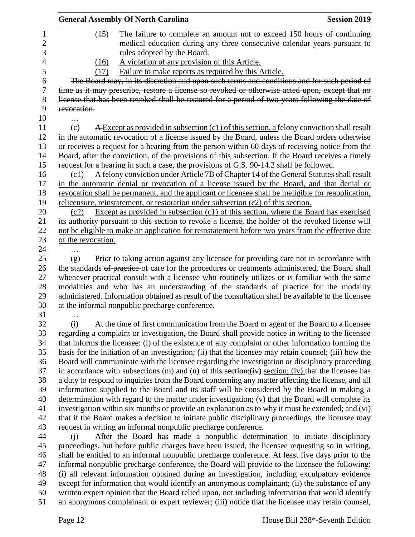|                    | <b>General Assembly Of North Carolina</b>                                                                    | <b>Session 2019</b> |
|--------------------|--------------------------------------------------------------------------------------------------------------|---------------------|
| (15)               | The failure to complete an amount not to exceed 150 hours of continuing                                      |                     |
|                    | medical education during any three consecutive calendar years pursuant to                                    |                     |
|                    | rules adopted by the Board.                                                                                  |                     |
| (16)               | A violation of any provision of this Article.                                                                |                     |
| (17)               | Failure to make reports as required by this Article.                                                         |                     |
|                    | The Board may, in its discretion and upon such terms and conditions and for such period of                   |                     |
|                    | time as it may prescribe, restore a license so revoked or otherwise acted upon, except that no               |                     |
|                    | license that has been revoked shall be restored for a period of two years following the date of              |                     |
| revocation.        |                                                                                                              |                     |
| .                  |                                                                                                              |                     |
| (c)                | A Except as provided in subsection (c1) of this section, a felony conviction shall result                    |                     |
|                    | in the automatic revocation of a license issued by the Board, unless the Board orders otherwise              |                     |
|                    | or receives a request for a hearing from the person within 60 days of receiving notice from the              |                     |
|                    | Board, after the conviction, of the provisions of this subsection. If the Board receives a timely            |                     |
|                    | request for a hearing in such a case, the provisions of G.S. 90-14.2 shall be followed.                      |                     |
| (c1)               | A felony conviction under Article 7B of Chapter 14 of the General Statutes shall result                      |                     |
|                    | in the automatic denial or revocation of a license issued by the Board, and that denial or                   |                     |
|                    | revocation shall be permanent, and the applicant or licensee shall be ineligible for reapplication,          |                     |
|                    | relicensure, reinstatement, or restoration under subsection $(c2)$ of this section.                          |                     |
| (c2)               | Except as provided in subsection (c1) of this section, where the Board has exercised                         |                     |
|                    | its authority pursuant to this section to revoke a license, the holder of the revoked license will           |                     |
|                    | not be eligible to make an application for reinstatement before two years from the effective date            |                     |
| of the revocation. |                                                                                                              |                     |
|                    |                                                                                                              |                     |
| (g)                | Prior to taking action against any licensee for providing care not in accordance with                        |                     |
|                    | the standards of practice of care for the procedures or treatments administered, the Board shall             |                     |
|                    | whenever practical consult with a licensee who routinely utilizes or is familiar with the same               |                     |
|                    | modalities and who has an understanding of the standards of practice for the modality                        |                     |
|                    | administered. Information obtained as result of the consultation shall be available to the licensee          |                     |
|                    | at the informal nonpublic precharge conference.                                                              |                     |
|                    |                                                                                                              |                     |
| (i)                | At the time of first communication from the Board or agent of the Board to a licensee                        |                     |
|                    | regarding a complaint or investigation, the Board shall provide notice in writing to the licensee            |                     |
|                    | that informs the licensee: (i) of the existence of any complaint or other information forming the            |                     |
|                    | basis for the initiation of an investigation; (ii) that the licensee may retain counsel; (iii) how the       |                     |
|                    | Board will communicate with the licensee regarding the investigation or disciplinary proceeding              |                     |
|                    | in accordance with subsections $(m)$ and $(n)$ of this section; $(iv)$ section; $(iv)$ that the licensee has |                     |
|                    | a duty to respond to inquiries from the Board concerning any matter affecting the license, and all           |                     |
|                    | information supplied to the Board and its staff will be considered by the Board in making a                  |                     |
|                    | determination with regard to the matter under investigation; (v) that the Board will complete its            |                     |
|                    | investigation within six months or provide an explanation as to why it must be extended; and (vi)            |                     |
|                    | that if the Board makes a decision to initiate public disciplinary proceedings, the licensee may             |                     |
|                    | request in writing an informal nonpublic precharge conference.                                               |                     |
| (i)                | After the Board has made a nonpublic determination to initiate disciplinary                                  |                     |
|                    | proceedings, but before public charges have been issued, the licensee requesting so in writing,              |                     |
|                    | shall be entitled to an informal nonpublic precharge conference. At least five days prior to the             |                     |
|                    | informal nonpublic precharge conference, the Board will provide to the licensee the following:               |                     |
|                    | (i) all relevant information obtained during an investigation, including exculpatory evidence                |                     |
|                    | except for information that would identify an anonymous complainant; (ii) the substance of any               |                     |
|                    | written expert opinion that the Board relied upon, not including information that would identify             |                     |
|                    | an anonymous complainant or expert reviewer; (iii) notice that the licensee may retain counsel,              |                     |
|                    |                                                                                                              |                     |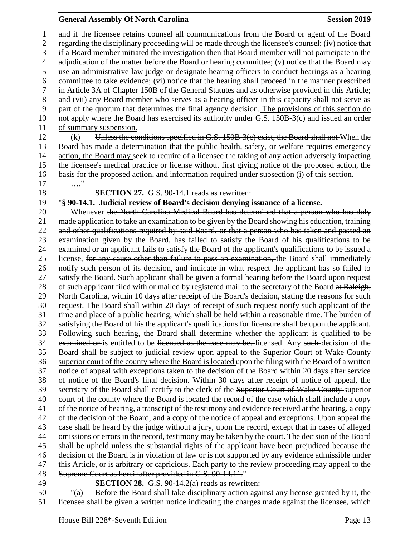#### **General Assembly Of North Carolina Session 2019 Session 2019**

 and if the licensee retains counsel all communications from the Board or agent of the Board regarding the disciplinary proceeding will be made through the licensee's counsel; (iv) notice that if a Board member initiated the investigation then that Board member will not participate in the adjudication of the matter before the Board or hearing committee; (v) notice that the Board may use an administrative law judge or designate hearing officers to conduct hearings as a hearing committee to take evidence; (vi) notice that the hearing shall proceed in the manner prescribed in Article 3A of Chapter 150B of the General Statutes and as otherwise provided in this Article; and (vii) any Board member who serves as a hearing officer in this capacity shall not serve as part of the quorum that determines the final agency decision. The provisions of this section do not apply where the Board has exercised its authority under G.S. 150B-3(c) and issued an order of summary suspension. 12 (k) Unless the conditions specified in G.S.  $150B-3(c)$  exist, the Board shall not When the Board has made a determination that the public health, safety, or welfare requires emergency action, the Board may seek to require of a licensee the taking of any action adversely impacting the licensee's medical practice or license without first giving notice of the proposed action, the basis for the proposed action, and information required under subsection (i) of this section. …." **SECTION 27.** G.S. 90-14.1 reads as rewritten: "**§ 90-14.1. Judicial review of Board's decision denying issuance of a license.** 20 Whenever the North Carolina Medical Board has determined that a person who has duly made application to take an examination to be given by the Board showing his education, training and other qualifications required by said Board, or that a person who has taken and passed an examination given by the Board, has failed to satisfy the Board of his qualifications to be 24 examined or an applicant fails to satisfy the Board of the applicant's qualifications to be issued a 25 license, for any cause other than failure to pass an examination, the Board shall immediately notify such person of its decision, and indicate in what respect the applicant has so failed to satisfy the Board. Such applicant shall be given a formal hearing before the Board upon request 28 of such applicant filed with or mailed by registered mail to the secretary of the Board at Raleigh, 29 North Carolina, within 10 days after receipt of the Board's decision, stating the reasons for such request. The Board shall within 20 days of receipt of such request notify such applicant of the time and place of a public hearing, which shall be held within a reasonable time. The burden of 32 satisfying the Board of his the applicant's qualifications for licensure shall be upon the applicant. 33 Following such hearing, the Board shall determine whether the applicant is qualified to be 34 examined or is entitled to be licensed as the case may be. licensed. Any such decision of the 35 Board shall be subject to judicial review upon appeal to the Superior Court of Wake County superior court of the county where the Board is located upon the filing with the Board of a written notice of appeal with exceptions taken to the decision of the Board within 20 days after service of notice of the Board's final decision. Within 30 days after receipt of notice of appeal, the 39 secretary of the Board shall certify to the clerk of the Superior Court of Wake County superior court of the county where the Board is located the record of the case which shall include a copy of the notice of hearing, a transcript of the testimony and evidence received at the hearing, a copy of the decision of the Board, and a copy of the notice of appeal and exceptions. Upon appeal the case shall be heard by the judge without a jury, upon the record, except that in cases of alleged omissions or errors in the record, testimony may be taken by the court. The decision of the Board shall be upheld unless the substantial rights of the applicant have been prejudiced because the decision of the Board is in violation of law or is not supported by any evidence admissible under 47 this Article, or is arbitrary or capricious. Each party to the review proceeding may appeal to the Supreme Court as hereinafter provided in G.S. 90-14.11." **SECTION 28.** G.S. 90-14.2(a) reads as rewritten:

 "(a) Before the Board shall take disciplinary action against any license granted by it, the 51 licensee shall be given a written notice indicating the charges made against the licensee, which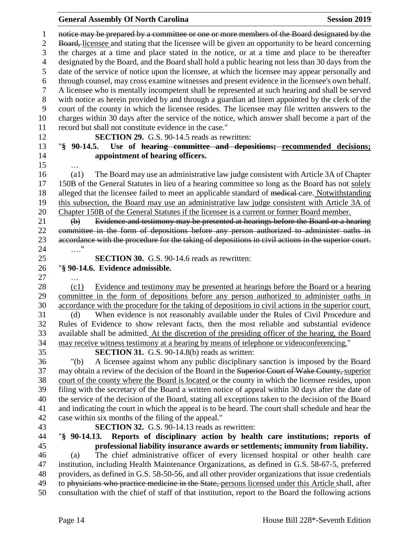### **General Assembly Of North Carolina Session 2019**

| 1              | notice may be prepared by a committee or one or more members of the Board designated by the                                                         |
|----------------|-----------------------------------------------------------------------------------------------------------------------------------------------------|
| $\mathbf{2}$   | Board, licensee and stating that the licensee will be given an opportunity to be heard concerning                                                   |
| 3              | the charges at a time and place stated in the notice, or at a time and place to be thereafter                                                       |
| $\overline{4}$ | designated by the Board, and the Board shall hold a public hearing not less than 30 days from the                                                   |
| 5              | date of the service of notice upon the licensee, at which the licensee may appear personally and                                                    |
| 6              | through counsel, may cross examine witnesses and present evidence in the licensee's own behalf.                                                     |
| $\tau$         | A licensee who is mentally incompetent shall be represented at such hearing and shall be served                                                     |
| 8              | with notice as herein provided by and through a guardian ad litem appointed by the clerk of the                                                     |
| 9              | court of the county in which the licensee resides. The licensee may file written answers to the                                                     |
| 10             | charges within 30 days after the service of the notice, which answer shall become a part of the                                                     |
| 11             | record but shall not constitute evidence in the case."                                                                                              |
| 12             | SECTION 29. G.S. 90-14.5 reads as rewritten:                                                                                                        |
| 13<br>14       | Use of hearing committee and depositions; recommended decisions;<br>$\sqrt{8}$ 90-14.5.<br>appointment of hearing officers.                         |
| 15             |                                                                                                                                                     |
| 16             | The Board may use an administrative law judge consistent with Article 3A of Chapter<br>$\left( a1\right)$                                           |
| 17             | 150B of the General Statutes in lieu of a hearing committee so long as the Board has not solely                                                     |
| 18             | alleged that the licensee failed to meet an applicable standard of medical-care. Notwithstanding                                                    |
| 19             | this subsection, the Board may use an administrative law judge consistent with Article 3A of                                                        |
| 20             | Chapter 150B of the General Statutes if the licensee is a current or former Board member.                                                           |
| 21             | Evidence and testimony may be presented at hearings before the Board or a hearing<br>$\bigoplus$                                                    |
| 22             | committee in the form of depositions before any person authorized to administer oaths in                                                            |
| 23             | accordance with the procedure for the taking of depositions in civil actions in the superior court.                                                 |
| 24             | . "                                                                                                                                                 |
| 25             | <b>SECTION 30.</b> G.S. 90-14.6 reads as rewritten:                                                                                                 |
| 26             | "§ 90-14.6. Evidence admissible.                                                                                                                    |
| 27             |                                                                                                                                                     |
| 28             | Evidence and testimony may be presented at hearings before the Board or a hearing<br>(c1)                                                           |
| 29             | committee in the form of depositions before any person authorized to administer oaths in                                                            |
| 30             | accordance with the procedure for the taking of depositions in civil actions in the superior court.                                                 |
| 31             | When evidence is not reasonably available under the Rules of Civil Procedure and<br>(d)                                                             |
| 32             | Rules of Evidence to show relevant facts, then the most reliable and substantial evidence                                                           |
| 33             | available shall be admitted. At the discretion of the presiding officer of the hearing, the Board                                                   |
| 34             | may receive witness testimony at a hearing by means of telephone or videoconferencing."                                                             |
| 35<br>36       | <b>SECTION 31.</b> G.S. 90-14.8(b) reads as written:<br>A licensee against whom any public disciplinary sanction is imposed by the Board<br>" $(b)$ |
| 37             | may obtain a review of the decision of the Board in the Superior Court of Wake County, superior                                                     |
| 38             | court of the county where the Board is located or the county in which the licensee resides, upon                                                    |
| 39             | filing with the secretary of the Board a written notice of appeal within 30 days after the date of                                                  |
| 40             | the service of the decision of the Board, stating all exceptions taken to the decision of the Board                                                 |
| 41             | and indicating the court in which the appeal is to be heard. The court shall schedule and hear the                                                  |
| 42             | case within six months of the filing of the appeal."                                                                                                |
| 43             | <b>SECTION 32.</b> G.S. 90-14.13 reads as rewritten:                                                                                                |
| 44             | Reports of disciplinary action by health care institutions; reports of<br>$\frac{1}{2}$ 90-14.13.                                                   |
| 45             | professional liability insurance awards or settlements; immunity from liability.                                                                    |
| 46             | The chief administrative officer of every licensed hospital or other health care<br>(a)                                                             |
| 47             | institution, including Health Maintenance Organizations, as defined in G.S. 58-67-5, preferred                                                      |
| 48             | providers, as defined in G.S. 58-50-56, and all other provider organizations that issue credentials                                                 |
| 49             | to physicians who practice medicine in the State, persons licensed under this Article shall, after                                                  |
| 50             | consultation with the chief of staff of that institution, report to the Board the following actions                                                 |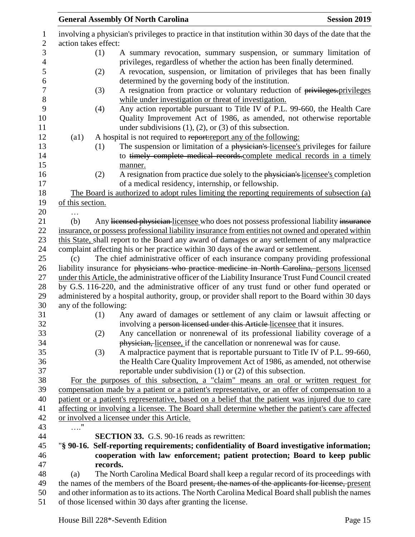|                                      |          | <b>General Assembly Of North Carolina</b>                                                                                                | <b>Session 2019</b> |
|--------------------------------------|----------|------------------------------------------------------------------------------------------------------------------------------------------|---------------------|
| action takes effect:                 |          | involving a physician's privileges to practice in that institution within 30 days of the date that the                                   |                     |
|                                      | (1)      | A summary revocation, summary suspension, or summary limitation of                                                                       |                     |
|                                      |          | privileges, regardless of whether the action has been finally determined.                                                                |                     |
|                                      | (2)      | A revocation, suspension, or limitation of privileges that has been finally<br>determined by the governing body of the institution.      |                     |
|                                      | (3)      | A resignation from practice or voluntary reduction of privileges-privileges                                                              |                     |
|                                      |          | while under investigation or threat of investigation.                                                                                    |                     |
|                                      | (4)      | Any action reportable pursuant to Title IV of P.L. 99-660, the Health Care                                                               |                     |
|                                      |          | Quality Improvement Act of 1986, as amended, not otherwise reportable<br>under subdivisions $(1)$ , $(2)$ , or $(3)$ of this subsection. |                     |
| (a1)                                 |          | A hospital is not required to report: report any of the following:                                                                       |                     |
|                                      | (1)      | The suspension or limitation of a physician's licensee's privileges for failure                                                          |                     |
|                                      |          | to timely complete medical records.complete medical records in a timely                                                                  |                     |
|                                      |          | manner.                                                                                                                                  |                     |
|                                      | (2)      | A resignation from practice due solely to the physician's licensee's completion                                                          |                     |
|                                      |          | of a medical residency, internship, or fellowship.                                                                                       |                     |
|                                      |          | The Board is authorized to adopt rules limiting the reporting requirements of subsection (a)                                             |                     |
| of this section.                     |          |                                                                                                                                          |                     |
|                                      |          |                                                                                                                                          |                     |
| (b)                                  |          | Any licensed physician licensee who does not possess professional liability insurance                                                    |                     |
|                                      |          | insurance, or possess professional liability insurance from entities not owned and operated within                                       |                     |
|                                      |          | this State, shall report to the Board any award of damages or any settlement of any malpractice                                          |                     |
|                                      |          | complaint affecting his or her practice within 30 days of the award or settlement.                                                       |                     |
| (c)                                  |          | The chief administrative officer of each insurance company providing professional                                                        |                     |
|                                      |          | liability insurance for physicians who practice medicine in North Carolina, persons licensed                                             |                     |
|                                      |          | under this Article, the administrative officer of the Liability Insurance Trust Fund Council created                                     |                     |
|                                      |          | by G.S. 116-220, and the administrative officer of any trust fund or other fund operated or                                              |                     |
|                                      |          | administered by a hospital authority, group, or provider shall report to the Board within 30 days                                        |                     |
| any of the following:                |          |                                                                                                                                          |                     |
|                                      | (1)      | Any award of damages or settlement of any claim or lawsuit affecting or                                                                  |                     |
|                                      |          | involving a person licensed under this Article licensee that it insures.                                                                 |                     |
|                                      | (2)      | Any cancellation or nonrenewal of its professional liability coverage of a                                                               |                     |
|                                      |          | physician, licensee, if the cancellation or nonrenewal was for cause.                                                                    |                     |
|                                      | (3)      | A malpractice payment that is reportable pursuant to Title IV of P.L. 99-660,                                                            |                     |
|                                      |          | the Health Care Quality Improvement Act of 1986, as amended, not otherwise                                                               |                     |
|                                      |          | reportable under subdivision $(1)$ or $(2)$ of this subsection.                                                                          |                     |
|                                      |          | For the purposes of this subsection, a "claim" means an oral or written request for                                                      |                     |
|                                      |          | compensation made by a patient or a patient's representative, or an offer of compensation to a                                           |                     |
|                                      |          | patient or a patient's representative, based on a belief that the patient was injured due to care                                        |                     |
|                                      |          | affecting or involving a licensee. The Board shall determine whether the patient's care affected                                         |                     |
|                                      |          | or involved a licensee under this Article.                                                                                               |                     |
| $\ldots \overset{\shortparallel}{.}$ |          |                                                                                                                                          |                     |
|                                      |          | <b>SECTION 33.</b> G.S. 90-16 reads as rewritten:                                                                                        |                     |
|                                      |          | "§ 90-16. Self-reporting requirements; confidentiality of Board investigative information;                                               |                     |
|                                      |          | cooperation with law enforcement; patient protection; Board to keep public                                                               |                     |
|                                      | records. |                                                                                                                                          |                     |
| (a)                                  |          | The North Carolina Medical Board shall keep a regular record of its proceedings with                                                     |                     |
|                                      |          | the names of the members of the Board present, the names of the applicants for license, present                                          |                     |
|                                      |          | and other information as to its actions. The North Carolina Medical Board shall publish the names                                        |                     |
|                                      |          | of those licensed within 30 days after granting the license.                                                                             |                     |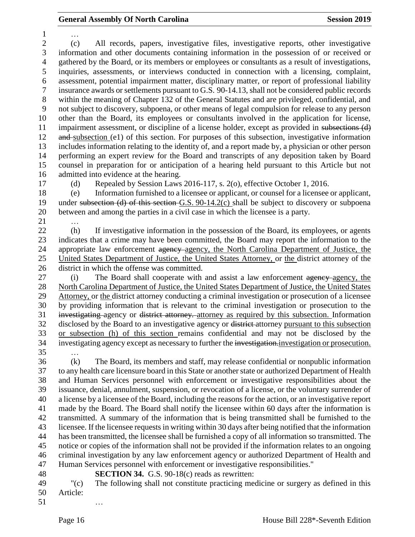… (c) All records, papers, investigative files, investigative reports, other investigative information and other documents containing information in the possession of or received or gathered by the Board, or its members or employees or consultants as a result of investigations, inquiries, assessments, or interviews conducted in connection with a licensing, complaint, assessment, potential impairment matter, disciplinary matter, or report of professional liability insurance awards or settlements pursuant to G.S. 90-14.13, shall not be considered public records within the meaning of Chapter 132 of the General Statutes and are privileged, confidential, and not subject to discovery, subpoena, or other means of legal compulsion for release to any person other than the Board, its employees or consultants involved in the application for license, impairment assessment, or discipline of a license holder, except as provided in subsections (d) 12 and subsection (e1) of this section. For purposes of this subsection, investigative information includes information relating to the identity of, and a report made by, a physician or other person performing an expert review for the Board and transcripts of any deposition taken by Board counsel in preparation for or anticipation of a hearing held pursuant to this Article but not admitted into evidence at the hearing.

(d) Repealed by Session Laws 2016-117, s. 2(o), effective October 1, 2016.

 (e) Information furnished to a licensee or applicant, or counsel for a licensee or applicant, under subsection (d) of this section G.S. 90-14.2(c) shall be subject to discovery or subpoena between and among the parties in a civil case in which the licensee is a party.

…

 (h) If investigative information in the possession of the Board, its employees, or agents indicates that a crime may have been committed, the Board may report the information to the 24 appropriate law enforcement agency agency, the North Carolina Department of Justice, the United States Department of Justice, the United States Attorney, or the district attorney of the district in which the offense was committed.

 (i) The Board shall cooperate with and assist a law enforcement agency agency, the North Carolina Department of Justice, the United States Department of Justice, the United States Attorney, or the district attorney conducting a criminal investigation or prosecution of a licensee by providing information that is relevant to the criminal investigation or prosecution to the investigating agency or district attorney. attorney as required by this subsection. Information disclosed by the Board to an investigative agency or district attorney pursuant to this subsection or subsection (h) of this section remains confidential and may not be disclosed by the investigating agency except as necessary to further the investigation.investigation or prosecution. …

 (k) The Board, its members and staff, may release confidential or nonpublic information to any health care licensure board in this State or another state or authorized Department of Health and Human Services personnel with enforcement or investigative responsibilities about the issuance, denial, annulment, suspension, or revocation of a license, or the voluntary surrender of a license by a licensee of the Board, including the reasons for the action, or an investigative report made by the Board. The Board shall notify the licensee within 60 days after the information is transmitted. A summary of the information that is being transmitted shall be furnished to the licensee. If the licensee requests in writing within 30 days after being notified that the information has been transmitted, the licensee shall be furnished a copy of all information so transmitted. The notice or copies of the information shall not be provided if the information relates to an ongoing criminal investigation by any law enforcement agency or authorized Department of Health and Human Services personnel with enforcement or investigative responsibilities."

**SECTION 34.** G.S. 90-18(c) reads as rewritten:

 "(c) The following shall not constitute practicing medicine or surgery as defined in this Article:

…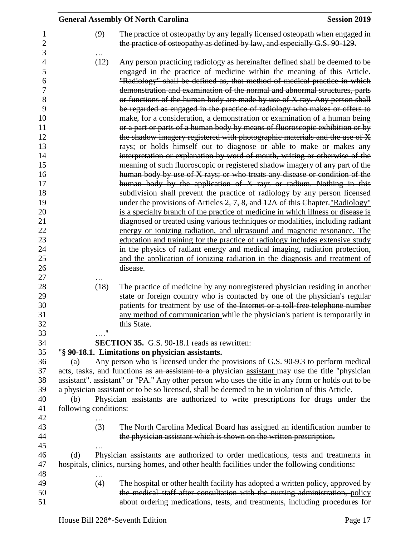|                       | <b>General Assembly Of North Carolina</b><br><b>Session 2019</b>                                                                                                                                                                                                                                                                                                                                                                                                                                                                                                                                                                                                                                                                                                                                                                                                                                                                                                                                                                                                                                                                                                                                                                                                                                                                                                                                                                                                                                                                                                                                                                                                                                      |
|-----------------------|-------------------------------------------------------------------------------------------------------------------------------------------------------------------------------------------------------------------------------------------------------------------------------------------------------------------------------------------------------------------------------------------------------------------------------------------------------------------------------------------------------------------------------------------------------------------------------------------------------------------------------------------------------------------------------------------------------------------------------------------------------------------------------------------------------------------------------------------------------------------------------------------------------------------------------------------------------------------------------------------------------------------------------------------------------------------------------------------------------------------------------------------------------------------------------------------------------------------------------------------------------------------------------------------------------------------------------------------------------------------------------------------------------------------------------------------------------------------------------------------------------------------------------------------------------------------------------------------------------------------------------------------------------------------------------------------------------|
| (9)                   | The practice of osteopathy by any legally licensed osteopath when engaged in<br>the practice of osteopathy as defined by law, and especially G.S. 90-129.                                                                                                                                                                                                                                                                                                                                                                                                                                                                                                                                                                                                                                                                                                                                                                                                                                                                                                                                                                                                                                                                                                                                                                                                                                                                                                                                                                                                                                                                                                                                             |
| (12)                  | Any person practicing radiology as hereinafter defined shall be deemed to be<br>engaged in the practice of medicine within the meaning of this Article.<br>"Radiology" shall be defined as, that method of medical practice in which<br>demonstration and examination of the normal and abnormal structures, parts<br>or functions of the human body are made by use of X ray. Any person shall<br>be regarded as engaged in the practice of radiology who makes or offers to<br>make, for a consideration, a demonstration or examination of a human being<br>or a part or parts of a human body by means of fluoroscopic exhibition or by<br>the shadow imagery registered with photographic materials and the use of X<br>rays; or holds himself out to diagnose or able to make or makes any<br>interpretation or explanation by word of mouth, writing or otherwise of the<br>meaning of such fluoroscopic or registered shadow imagery of any part of the<br>human body by use of X rays; or who treats any disease or condition of the<br>human body by the application of X rays or radium. Nothing in this<br>subdivision shall prevent the practice of radiology by any person licensed<br>under the provisions of Articles 2, 7, 8, and 12A of this Chapter. "Radiology"<br>is a specialty branch of the practice of medicine in which illness or disease is<br>diagnosed or treated using various techniques or modalities, including radiant<br>energy or ionizing radiation, and ultrasound and magnetic resonance. The<br>education and training for the practice of radiology includes extensive study<br>in the physics of radiant energy and medical imaging, radiation protection, |
|                       | and the application of ionizing radiation in the diagnosis and treatment of                                                                                                                                                                                                                                                                                                                                                                                                                                                                                                                                                                                                                                                                                                                                                                                                                                                                                                                                                                                                                                                                                                                                                                                                                                                                                                                                                                                                                                                                                                                                                                                                                           |
|                       | disease.                                                                                                                                                                                                                                                                                                                                                                                                                                                                                                                                                                                                                                                                                                                                                                                                                                                                                                                                                                                                                                                                                                                                                                                                                                                                                                                                                                                                                                                                                                                                                                                                                                                                                              |
| (18)                  | The practice of medicine by any nonregistered physician residing in another<br>state or foreign country who is contacted by one of the physician's regular<br>patients for treatment by use of the Internet or a toll-free telephone number<br>any method of communication while the physician's patient is temporarily in<br>this State.                                                                                                                                                                                                                                                                                                                                                                                                                                                                                                                                                                                                                                                                                                                                                                                                                                                                                                                                                                                                                                                                                                                                                                                                                                                                                                                                                             |
|                       | <b>SECTION 35.</b> G.S. 90-18.1 reads as rewritten:                                                                                                                                                                                                                                                                                                                                                                                                                                                                                                                                                                                                                                                                                                                                                                                                                                                                                                                                                                                                                                                                                                                                                                                                                                                                                                                                                                                                                                                                                                                                                                                                                                                   |
| (a)                   | "§ 90-18.1. Limitations on physician assistants.<br>Any person who is licensed under the provisions of G.S. 90-9.3 to perform medical                                                                                                                                                                                                                                                                                                                                                                                                                                                                                                                                                                                                                                                                                                                                                                                                                                                                                                                                                                                                                                                                                                                                                                                                                                                                                                                                                                                                                                                                                                                                                                 |
| (b)                   | acts, tasks, and functions as an assistant to a physician assistant may use the title "physician<br>assistant". assistant" or "PA." Any other person who uses the title in any form or holds out to be<br>a physician assistant or to be so licensed, shall be deemed to be in violation of this Article.<br>Physician assistants are authorized to write prescriptions for drugs under the                                                                                                                                                                                                                                                                                                                                                                                                                                                                                                                                                                                                                                                                                                                                                                                                                                                                                                                                                                                                                                                                                                                                                                                                                                                                                                           |
| following conditions: |                                                                                                                                                                                                                                                                                                                                                                                                                                                                                                                                                                                                                                                                                                                                                                                                                                                                                                                                                                                                                                                                                                                                                                                                                                                                                                                                                                                                                                                                                                                                                                                                                                                                                                       |
| $\left(3\right)$      | The North Carolina Medical Board has assigned an identification number to<br>the physician assistant which is shown on the written prescription.                                                                                                                                                                                                                                                                                                                                                                                                                                                                                                                                                                                                                                                                                                                                                                                                                                                                                                                                                                                                                                                                                                                                                                                                                                                                                                                                                                                                                                                                                                                                                      |
| (d)                   | Physician assistants are authorized to order medications, tests and treatments in<br>hospitals, clinics, nursing homes, and other health facilities under the following conditions:                                                                                                                                                                                                                                                                                                                                                                                                                                                                                                                                                                                                                                                                                                                                                                                                                                                                                                                                                                                                                                                                                                                                                                                                                                                                                                                                                                                                                                                                                                                   |
| (4)                   | The hospital or other health facility has adopted a written policy, approved by<br>the medical staff after consultation with the nursing administration, policy<br>about ordering medications, tests, and treatments, including procedures for                                                                                                                                                                                                                                                                                                                                                                                                                                                                                                                                                                                                                                                                                                                                                                                                                                                                                                                                                                                                                                                                                                                                                                                                                                                                                                                                                                                                                                                        |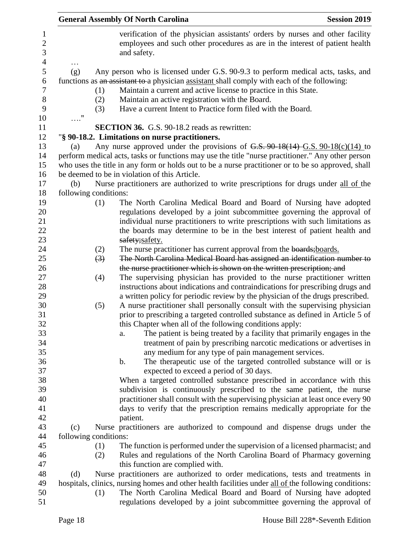|                       |                  | <b>General Assembly Of North Carolina</b>                                                                                                                                    | <b>Session 2019</b> |
|-----------------------|------------------|------------------------------------------------------------------------------------------------------------------------------------------------------------------------------|---------------------|
|                       |                  | verification of the physician assistants' orders by nurses and other facility<br>employees and such other procedures as are in the interest of patient health<br>and safety. |                     |
| (g)                   |                  | Any person who is licensed under G.S. 90-9.3 to perform medical acts, tasks, and                                                                                             |                     |
|                       |                  | functions as an assistant to a physician assistant shall comply with each of the following:                                                                                  |                     |
|                       | (1)              | Maintain a current and active license to practice in this State.                                                                                                             |                     |
|                       | (2)              | Maintain an active registration with the Board.                                                                                                                              |                     |
|                       | (3)              | Have a current Intent to Practice form filed with the Board.                                                                                                                 |                     |
| $\ldots$ "            |                  |                                                                                                                                                                              |                     |
|                       |                  | <b>SECTION 36.</b> G.S. 90-18.2 reads as rewritten:                                                                                                                          |                     |
|                       |                  | "§ 90-18.2. Limitations on nurse practitioners.                                                                                                                              |                     |
| (a)                   |                  | Any nurse approved under the provisions of $G.S. 90-18(14)$ $G.S. 90-18(c)(14)$ to                                                                                           |                     |
|                       |                  | perform medical acts, tasks or functions may use the title "nurse practitioner." Any other person                                                                            |                     |
|                       |                  | who uses the title in any form or holds out to be a nurse practitioner or to be so approved, shall<br>be deemed to be in violation of this Article.                          |                     |
|                       |                  |                                                                                                                                                                              |                     |
| (b)                   |                  | Nurse practitioners are authorized to write prescriptions for drugs under all of the                                                                                         |                     |
| following conditions: | (1)              | The North Carolina Medical Board and Board of Nursing have adopted                                                                                                           |                     |
|                       |                  | regulations developed by a joint subcommittee governing the approval of                                                                                                      |                     |
|                       |                  | individual nurse practitioners to write prescriptions with such limitations as                                                                                               |                     |
|                       |                  | the boards may determine to be in the best interest of patient health and                                                                                                    |                     |
|                       |                  | safety;safety.                                                                                                                                                               |                     |
|                       | (2)              | The nurse practitioner has current approval from the boards; boards.                                                                                                         |                     |
|                       | $\left(3\right)$ | The North Carolina Medical Board has assigned an identification number to                                                                                                    |                     |
|                       |                  | the nurse practitioner which is shown on the written prescription; and                                                                                                       |                     |
|                       | (4)              | The supervising physician has provided to the nurse practitioner written                                                                                                     |                     |
|                       |                  | instructions about indications and contraindications for prescribing drugs and                                                                                               |                     |
|                       |                  | a written policy for periodic review by the physician of the drugs prescribed.                                                                                               |                     |
|                       | (5)              | A nurse practitioner shall personally consult with the supervising physician                                                                                                 |                     |
|                       |                  | prior to prescribing a targeted controlled substance as defined in Article 5 of                                                                                              |                     |
|                       |                  | this Chapter when all of the following conditions apply:                                                                                                                     |                     |
|                       |                  | The patient is being treated by a facility that primarily engages in the<br>a.                                                                                               |                     |
|                       |                  | treatment of pain by prescribing narcotic medications or advertises in                                                                                                       |                     |
|                       |                  | any medium for any type of pain management services.                                                                                                                         |                     |
|                       |                  | The therapeutic use of the targeted controlled substance will or is<br>$\mathbf b$ .                                                                                         |                     |
|                       |                  | expected to exceed a period of 30 days.                                                                                                                                      |                     |
|                       |                  | When a targeted controlled substance prescribed in accordance with this                                                                                                      |                     |
|                       |                  | subdivision is continuously prescribed to the same patient, the nurse                                                                                                        |                     |
|                       |                  | practitioner shall consult with the supervising physician at least once every 90                                                                                             |                     |
|                       |                  | days to verify that the prescription remains medically appropriate for the                                                                                                   |                     |
|                       |                  | patient.                                                                                                                                                                     |                     |
| (c)                   |                  | Nurse practitioners are authorized to compound and dispense drugs under the                                                                                                  |                     |
| following conditions: |                  |                                                                                                                                                                              |                     |
|                       | (1)              | The function is performed under the supervision of a licensed pharmacist; and                                                                                                |                     |
|                       | (2)              | Rules and regulations of the North Carolina Board of Pharmacy governing                                                                                                      |                     |
|                       |                  | this function are complied with.                                                                                                                                             |                     |
| (d)                   |                  | Nurse practitioners are authorized to order medications, tests and treatments in                                                                                             |                     |
|                       |                  | hospitals, clinics, nursing homes and other health facilities under all of the following conditions:                                                                         |                     |
|                       | (1)              | The North Carolina Medical Board and Board of Nursing have adopted                                                                                                           |                     |
|                       |                  | regulations developed by a joint subcommittee governing the approval of                                                                                                      |                     |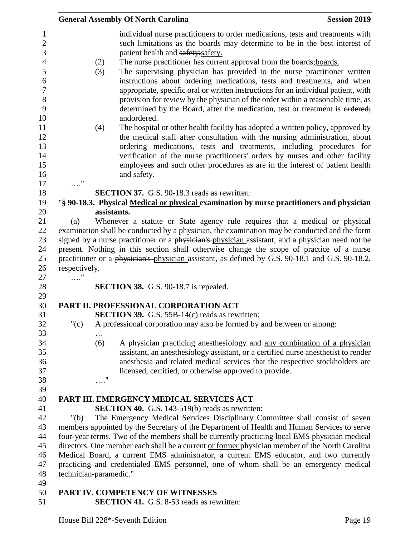|                        |             | <b>General Assembly Of North Carolina</b>                                                                                                                                                                                                                                                                                                                                                                                                                                                           | <b>Session 2019</b> |
|------------------------|-------------|-----------------------------------------------------------------------------------------------------------------------------------------------------------------------------------------------------------------------------------------------------------------------------------------------------------------------------------------------------------------------------------------------------------------------------------------------------------------------------------------------------|---------------------|
|                        |             | individual nurse practitioners to order medications, tests and treatments with<br>such limitations as the boards may determine to be in the best interest of                                                                                                                                                                                                                                                                                                                                        |                     |
|                        |             | patient health and safety; safety.                                                                                                                                                                                                                                                                                                                                                                                                                                                                  |                     |
|                        | (2)<br>(3)  | The nurse practitioner has current approval from the boards; boards.<br>The supervising physician has provided to the nurse practitioner written<br>instructions about ordering medications, tests and treatments, and when<br>appropriate, specific oral or written instructions for an individual patient, with<br>provision for review by the physician of the order within a reasonable time, as<br>determined by the Board, after the medication, test or treatment is ordered;<br>andordered. |                     |
|                        | (4)         | The hospital or other health facility has adopted a written policy, approved by<br>the medical staff after consultation with the nursing administration, about                                                                                                                                                                                                                                                                                                                                      |                     |
|                        |             | ordering medications, tests and treatments, including procedures for<br>verification of the nurse practitioners' orders by nurses and other facility                                                                                                                                                                                                                                                                                                                                                |                     |
|                        |             | employees and such other procedures as are in the interest of patient health<br>and safety.                                                                                                                                                                                                                                                                                                                                                                                                         |                     |
| $\ldots$ "             |             |                                                                                                                                                                                                                                                                                                                                                                                                                                                                                                     |                     |
|                        |             | <b>SECTION 37.</b> G.S. 90-18.3 reads as rewritten:                                                                                                                                                                                                                                                                                                                                                                                                                                                 |                     |
|                        |             | "§ 90-18.3. Physical Medical or physical examination by nurse practitioners and physician                                                                                                                                                                                                                                                                                                                                                                                                           |                     |
|                        | assistants. |                                                                                                                                                                                                                                                                                                                                                                                                                                                                                                     |                     |
| (a)                    |             | Whenever a statute or State agency rule requires that a medical or physical                                                                                                                                                                                                                                                                                                                                                                                                                         |                     |
|                        |             | examination shall be conducted by a physician, the examination may be conducted and the form                                                                                                                                                                                                                                                                                                                                                                                                        |                     |
|                        |             | signed by a nurse practitioner or a physician's physician assistant, and a physician need not be                                                                                                                                                                                                                                                                                                                                                                                                    |                     |
|                        |             | present. Nothing in this section shall otherwise change the scope of practice of a nurse                                                                                                                                                                                                                                                                                                                                                                                                            |                     |
|                        |             | practitioner or a physician's physician assistant, as defined by G.S. 90-18.1 and G.S. 90-18.2,                                                                                                                                                                                                                                                                                                                                                                                                     |                     |
| respectively.          |             |                                                                                                                                                                                                                                                                                                                                                                                                                                                                                                     |                     |
| $\ldots$ "             |             | <b>SECTION 38.</b> G.S. 90-18.7 is repealed.                                                                                                                                                                                                                                                                                                                                                                                                                                                        |                     |
|                        |             | PART II. PROFESSIONAL CORPORATION ACT                                                                                                                                                                                                                                                                                                                                                                                                                                                               |                     |
|                        |             | <b>SECTION 39.</b> G.S. 55B-14(c) reads as rewritten:                                                                                                                                                                                                                                                                                                                                                                                                                                               |                     |
| " $(c)$                |             | A professional corporation may also be formed by and between or among:                                                                                                                                                                                                                                                                                                                                                                                                                              |                     |
|                        |             |                                                                                                                                                                                                                                                                                                                                                                                                                                                                                                     |                     |
|                        | (6)         | A physician practicing anesthesiology and any combination of a physician                                                                                                                                                                                                                                                                                                                                                                                                                            |                     |
|                        |             | assistant, an anesthesiology assistant, or a certified nurse anesthetist to render                                                                                                                                                                                                                                                                                                                                                                                                                  |                     |
|                        |             | anesthesia and related medical services that the respective stockholders are                                                                                                                                                                                                                                                                                                                                                                                                                        |                     |
|                        |             | licensed, certified, or otherwise approved to provide.                                                                                                                                                                                                                                                                                                                                                                                                                                              |                     |
|                        | $\ldots$ "  |                                                                                                                                                                                                                                                                                                                                                                                                                                                                                                     |                     |
|                        |             |                                                                                                                                                                                                                                                                                                                                                                                                                                                                                                     |                     |
|                        |             |                                                                                                                                                                                                                                                                                                                                                                                                                                                                                                     |                     |
|                        |             | PART III. EMERGENCY MEDICAL SERVICES ACT                                                                                                                                                                                                                                                                                                                                                                                                                                                            |                     |
|                        |             | <b>SECTION 40.</b> G.S. 143-519(b) reads as rewritten:                                                                                                                                                                                                                                                                                                                                                                                                                                              |                     |
| " $(b)$                |             | The Emergency Medical Services Disciplinary Committee shall consist of seven                                                                                                                                                                                                                                                                                                                                                                                                                        |                     |
|                        |             | members appointed by the Secretary of the Department of Health and Human Services to serve                                                                                                                                                                                                                                                                                                                                                                                                          |                     |
|                        |             | four-year terms. Two of the members shall be currently practicing local EMS physician medical                                                                                                                                                                                                                                                                                                                                                                                                       |                     |
|                        |             | directors. One member each shall be a current or former physician member of the North Carolina                                                                                                                                                                                                                                                                                                                                                                                                      |                     |
|                        |             | Medical Board, a current EMS administrator, a current EMS educator, and two currently                                                                                                                                                                                                                                                                                                                                                                                                               |                     |
|                        |             | practicing and credentialed EMS personnel, one of whom shall be an emergency medical                                                                                                                                                                                                                                                                                                                                                                                                                |                     |
| technician-paramedic." |             |                                                                                                                                                                                                                                                                                                                                                                                                                                                                                                     |                     |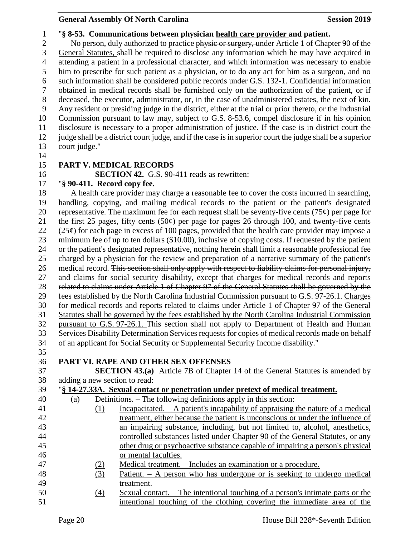#### "**§ 8-53. Communications between physician health care provider and patient.**

2 No person, duly authorized to practice physic or surgery, under Article 1 of Chapter 90 of the General Statutes, shall be required to disclose any information which he may have acquired in attending a patient in a professional character, and which information was necessary to enable him to prescribe for such patient as a physician, or to do any act for him as a surgeon, and no such information shall be considered public records under G.S. 132-1. Confidential information obtained in medical records shall be furnished only on the authorization of the patient, or if deceased, the executor, administrator, or, in the case of unadministered estates, the next of kin. Any resident or presiding judge in the district, either at the trial or prior thereto, or the Industrial Commission pursuant to law may, subject to G.S. 8-53.6, compel disclosure if in his opinion disclosure is necessary to a proper administration of justice. If the case is in district court the judge shall be a district court judge, and if the case is in superior court the judge shall be a superior court judge."

#### **PART V. MEDICAL RECORDS**

**SECTION 42.** G.S. 90-411 reads as rewritten:

### "**§ 90-411. Record copy fee.**

 A health care provider may charge a reasonable fee to cover the costs incurred in searching, handling, copying, and mailing medical records to the patient or the patient's designated 20 representative. The maximum fee for each request shall be seventy-five cents (75 $\varphi$ ) per page for 21 the first 25 pages, fifty cents (50 $\varphi$ ) per page for pages 26 through 100, and twenty-five cents (25 $\varphi$ ) for each page in excess of 100 pages, provided that the health care provider may impose a minimum fee of up to ten dollars (\$10.00), inclusive of copying costs. If requested by the patient or the patient's designated representative, nothing herein shall limit a reasonable professional fee charged by a physician for the review and preparation of a narrative summary of the patient's 26 medical record. This section shall only apply with respect to liability claims for personal injury, and claims for social security disability, except that charges for medical records and reports related to claims under Article 1 of Chapter 97 of the General Statutes shall be governed by the fees established by the North Carolina Industrial Commission pursuant to G.S. 97-26.1. Charges for medical records and reports related to claims under Article 1 of Chapter 97 of the General Statutes shall be governed by the fees established by the North Carolina Industrial Commission pursuant to G.S. 97-26.1. This section shall not apply to Department of Health and Human Services Disability Determination Services requests for copies of medical records made on behalf of an applicant for Social Security or Supplemental Security Income disability." 

### **PART VI. RAPE AND OTHER SEX OFFENSES**

 **SECTION 43.(a)** Article 7B of Chapter 14 of the General Statutes is amended by adding a new section to read:

### "**§ 14-27.33A. Sexual contact or penetration under pretext of medical treatment.**

| 40 | (a) |     | Definitions. – The following definitions apply in this section:                       |
|----|-----|-----|---------------------------------------------------------------------------------------|
| 41 |     | (1) | Incapacitated. $- A$ patient's incapability of appraising the nature of a medical     |
| 42 |     |     | treatment, either because the patient is unconscious or under the influence of        |
| 43 |     |     | an impairing substance, including, but not limited to, alcohol, anesthetics,          |
| 44 |     |     | controlled substances listed under Chapter 90 of the General Statutes, or any         |
| 45 |     |     | other drug or psychoactive substance capable of impairing a person's physical         |
| 46 |     |     | or mental faculties.                                                                  |
| 47 |     | (2) | Medical treatment. – Includes an examination or a procedure.                          |
| 48 |     | (3) | Patient. – A person who has undergone or is seeking to undergo medical                |
| 49 |     |     | treatment.                                                                            |
| 50 |     | (4) | <u>Sexual contact. – The intentional touching of a person's intimate parts or the</u> |
| 51 |     |     | intentional touching of the clothing covering the immediate area of the               |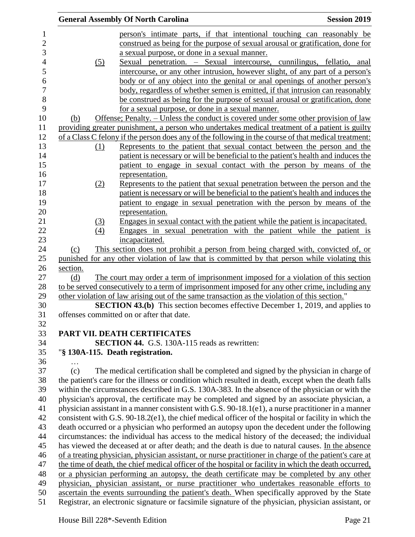|                   | <b>Session 2019</b><br><b>General Assembly Of North Carolina</b>                                       |
|-------------------|--------------------------------------------------------------------------------------------------------|
|                   | person's intimate parts, if that intentional touching can reasonably be                                |
|                   | construed as being for the purpose of sexual arousal or gratification, done for                        |
|                   | a sexual purpose, or done in a sexual manner.                                                          |
| (5)               | Sexual penetration. - Sexual intercourse, cunnilingus, fellatio, anal                                  |
|                   | intercourse, or any other intrusion, however slight, of any part of a person's                         |
|                   | body or of any object into the genital or anal openings of another person's                            |
|                   | body, regardless of whether semen is emitted, if that intrusion can reasonably                         |
|                   | be construed as being for the purpose of sexual arousal or gratification, done                         |
|                   | for a sexual purpose, or done in a sexual manner.                                                      |
| (b)               | Offense; Penalty. – Unless the conduct is covered under some other provision of law                    |
|                   | providing greater punishment, a person who undertakes medical treatment of a patient is guilty         |
|                   | of a Class C felony if the person does any of the following in the course of that medical treatment:   |
| (1)               | Represents to the patient that sexual contact between the person and the                               |
|                   | patient is necessary or will be beneficial to the patient's health and induces the                     |
|                   | patient to engage in sexual contact with the person by means of the                                    |
|                   | representation.                                                                                        |
| (2)               | Represents to the patient that sexual penetration between the person and the                           |
|                   | patient is necessary or will be beneficial to the patient's health and induces the                     |
|                   | patient to engage in sexual penetration with the person by means of the                                |
|                   | representation.                                                                                        |
|                   | Engages in sexual contact with the patient while the patient is incapacitated.                         |
| <u>(3)</u><br>(4) | Engages in sexual penetration with the patient while the patient is                                    |
|                   | incapacitated.                                                                                         |
| (c)               | This section does not prohibit a person from being charged with, convicted of, or                      |
|                   | punished for any other violation of law that is committed by that person while violating this          |
| section.          |                                                                                                        |
| (d)               | The court may order a term of imprisonment imposed for a violation of this section                     |
|                   | to be served consecutively to a term of imprisonment imposed for any other crime, including any        |
|                   | other violation of law arising out of the same transaction as the violation of this section."          |
|                   | <b>SECTION 43.(b)</b> This section becomes effective December 1, 2019, and applies to                  |
|                   | offenses committed on or after that date.                                                              |
|                   |                                                                                                        |
|                   | PART VII. DEATH CERTIFICATES                                                                           |
|                   | <b>SECTION 44.</b> G.S. 130A-115 reads as rewritten:                                                   |
|                   | "§ 130A-115. Death registration.                                                                       |
| .                 |                                                                                                        |
| (c)               | The medical certification shall be completed and signed by the physician in charge of                  |
|                   | the patient's care for the illness or condition which resulted in death, except when the death falls   |
|                   | within the circumstances described in G.S. 130A-383. In the absence of the physician or with the       |
|                   | physician's approval, the certificate may be completed and signed by an associate physician, a         |
|                   | physician assistant in a manner consistent with G.S. 90-18.1(e1), a nurse practitioner in a manner     |
|                   | consistent with G.S. 90-18.2(e1), the chief medical officer of the hospital or facility in which the   |
|                   | death occurred or a physician who performed an autopsy upon the decedent under the following           |
|                   | circumstances: the individual has access to the medical history of the deceased; the individual        |
|                   | has viewed the deceased at or after death; and the death is due to natural causes. In the absence      |
|                   | of a treating physician, physician assistant, or nurse practitioner in charge of the patient's care at |
|                   | the time of death, the chief medical officer of the hospital or facility in which the death occurred,  |
|                   | or a physician performing an autopsy, the death certificate may be completed by any other              |
|                   | physician, physician assistant, or nurse practitioner who undertakes reasonable efforts to             |
|                   | ascertain the events surrounding the patient's death. When specifically approved by the State          |
|                   | Registrar, an electronic signature or facsimile signature of the physician, physician assistant, or    |
|                   |                                                                                                        |